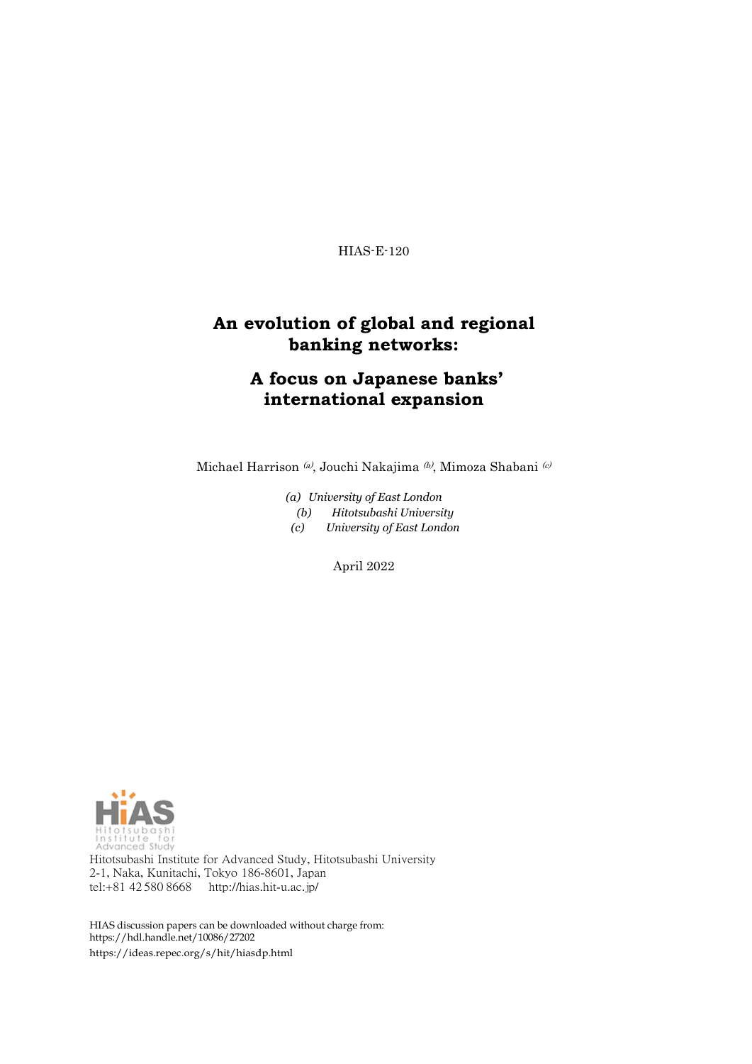HIAS-E-120

## **An evolution of global and regional banking networks:**

# **A focus on Japanese banks' international expansion**

Michael Harrison $\mathcal{A}$ Jouchi Nakajima $\mathcal{A}$ , Mimoza Shabani $\mathcal{A}$ 

- *(a) University of East London*
- *(b) Hitotsubashi University*

*(c) University of East London*

April 2022



Hitotsubashi Institute for Advanced Study, Hitotsubashi University 2-1, Naka, Kunitachi, Tokyo 186-8601, Japan tel:+81 42 580 8668 <http://hias.hit-u.ac.jp/>

HIAS discussion papers can be downloaded without charge from: [https://hdl.handle.net/10086/27202](http://hdl.handle.net/10086/27202) https://ideas.repec.org/s/hit/hiasdp.html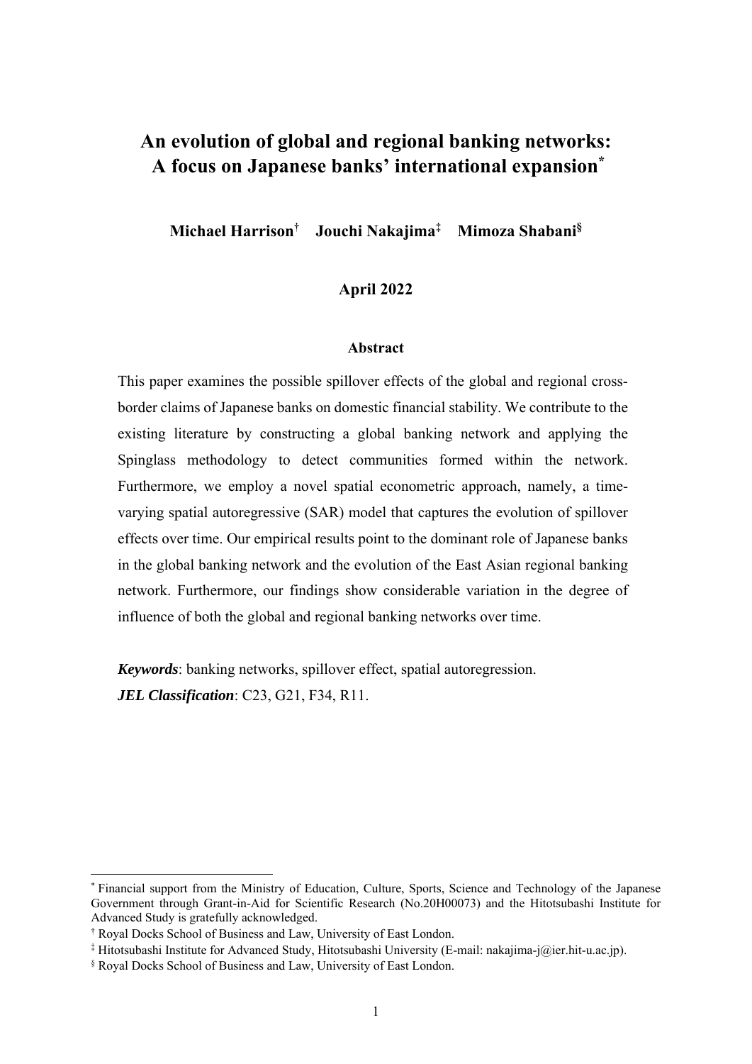# **An evolution of global and regional banking networks: A focus on Japanese banks' international expansion\***

**Michael Harrison† Jouchi Nakajima‡ Mimoza Shabani§**

## **April 2022**

#### **Abstract**

This paper examines the possible spillover effects of the global and regional crossborder claims of Japanese banks on domestic financial stability. We contribute to the existing literature by constructing a global banking network and applying the Spinglass methodology to detect communities formed within the network. Furthermore, we employ a novel spatial econometric approach, namely, a timevarying spatial autoregressive (SAR) model that captures the evolution of spillover effects over time. Our empirical results point to the dominant role of Japanese banks in the global banking network and the evolution of the East Asian regional banking network. Furthermore, our findings show considerable variation in the degree of influence of both the global and regional banking networks over time.

*Keywords*: banking networks, spillover effect, spatial autoregression. *JEL Classification*: C23, G21, F34, R11.

<sup>\*</sup> Financial support from the Ministry of Education, Culture, Sports, Science and Technology of the Japanese Government through Grant-in-Aid for Scientific Research (No.20H00073) and the Hitotsubashi Institute for Advanced Study is gratefully acknowledged.

<sup>†</sup> Royal Docks School of Business and Law, University of East London.

<sup>‡</sup> Hitotsubashi Institute for Advanced Study, Hitotsubashi University (E-mail: nakajima-j@ier.hit-u.ac.jp).

<sup>§</sup> Royal Docks School of Business and Law, University of East London.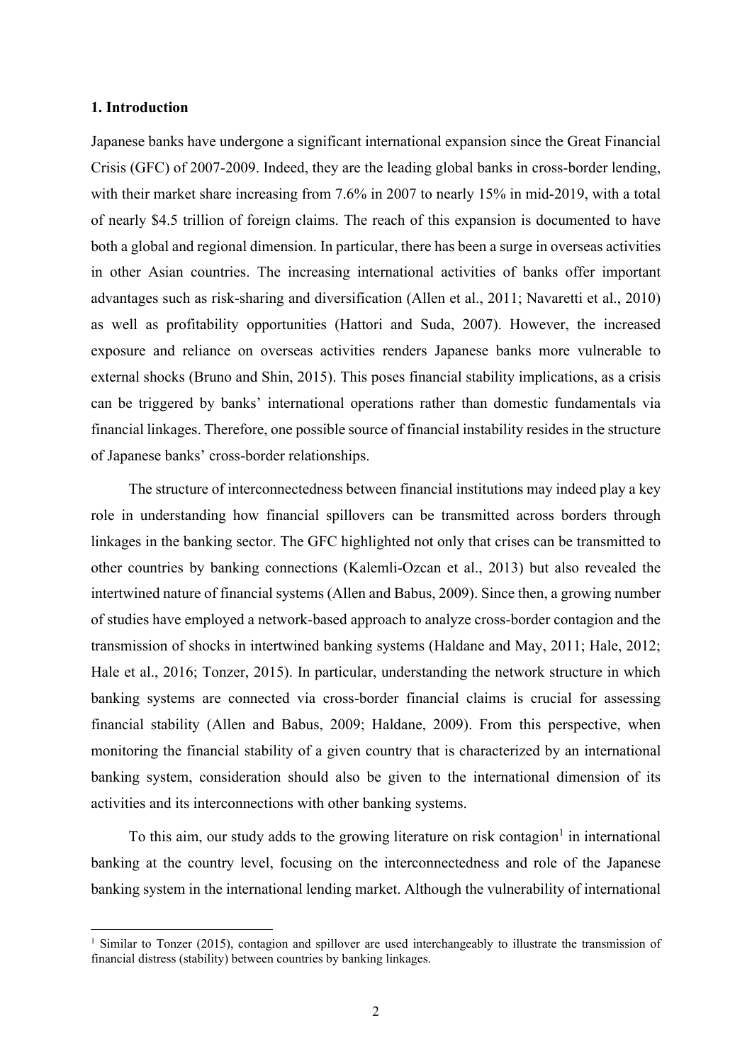### **1. Introduction**

Japanese banks have undergone a significant international expansion since the Great Financial Crisis (GFC) of 2007-2009. Indeed, they are the leading global banks in cross-border lending, with their market share increasing from 7.6% in 2007 to nearly 15% in mid-2019, with a total of nearly \$4.5 trillion of foreign claims. The reach of this expansion is documented to have both a global and regional dimension. In particular, there has been a surge in overseas activities in other Asian countries. The increasing international activities of banks offer important advantages such as risk-sharing and diversification (Allen et al., 2011; Navaretti et al., 2010) as well as profitability opportunities (Hattori and Suda, 2007). However, the increased exposure and reliance on overseas activities renders Japanese banks more vulnerable to external shocks (Bruno and Shin, 2015). This poses financial stability implications, as a crisis can be triggered by banks' international operations rather than domestic fundamentals via financial linkages. Therefore, one possible source of financial instability resides in the structure of Japanese banks' cross-border relationships.

The structure of interconnectedness between financial institutions may indeed play a key role in understanding how financial spillovers can be transmitted across borders through linkages in the banking sector. The GFC highlighted not only that crises can be transmitted to other countries by banking connections (Kalemli-Ozcan et al., 2013) but also revealed the intertwined nature of financial systems (Allen and Babus, 2009). Since then, a growing number of studies have employed a network-based approach to analyze cross-border contagion and the transmission of shocks in intertwined banking systems (Haldane and May, 2011; Hale, 2012; Hale et al., 2016; Tonzer, 2015). In particular, understanding the network structure in which banking systems are connected via cross-border financial claims is crucial for assessing financial stability (Allen and Babus, 2009; Haldane, 2009). From this perspective, when monitoring the financial stability of a given country that is characterized by an international banking system, consideration should also be given to the international dimension of its activities and its interconnections with other banking systems.

To this aim, our study adds to the growing literature on risk contagion<sup>1</sup> in international banking at the country level, focusing on the interconnectedness and role of the Japanese banking system in the international lending market. Although the vulnerability of international

<sup>&</sup>lt;sup>1</sup> Similar to Tonzer (2015), contagion and spillover are used interchangeably to illustrate the transmission of financial distress (stability) between countries by banking linkages.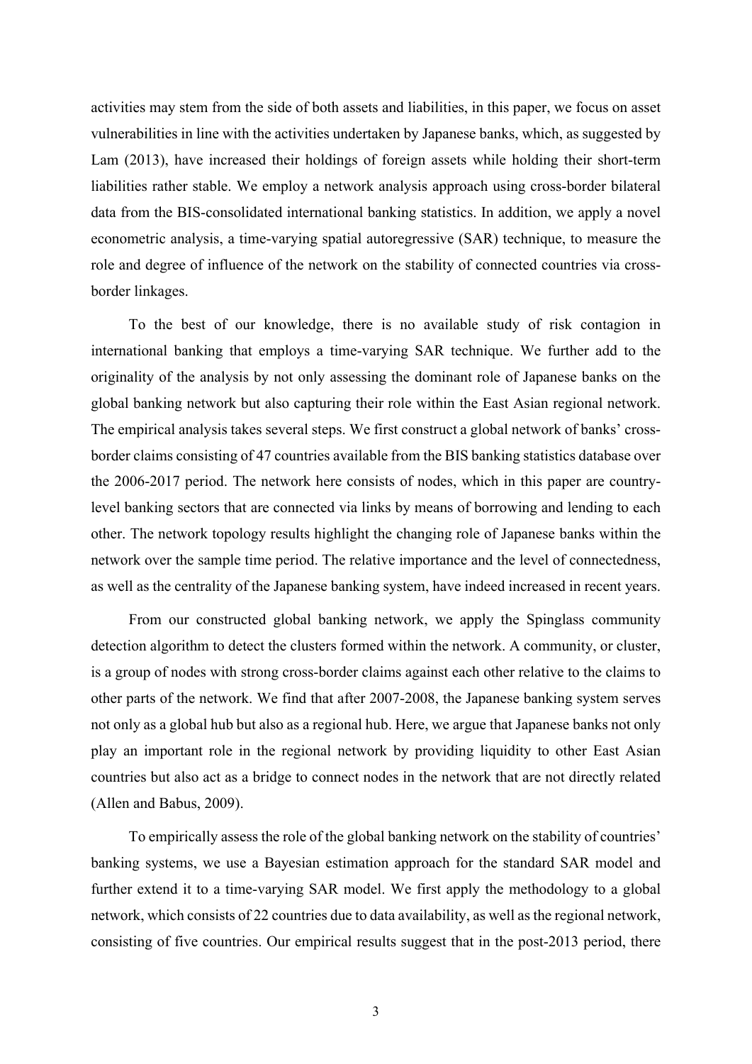activities may stem from the side of both assets and liabilities, in this paper, we focus on asset vulnerabilities in line with the activities undertaken by Japanese banks, which, as suggested by Lam (2013), have increased their holdings of foreign assets while holding their short-term liabilities rather stable. We employ a network analysis approach using cross-border bilateral data from the BIS-consolidated international banking statistics. In addition, we apply a novel econometric analysis, a time-varying spatial autoregressive (SAR) technique, to measure the role and degree of influence of the network on the stability of connected countries via crossborder linkages.

To the best of our knowledge, there is no available study of risk contagion in international banking that employs a time-varying SAR technique. We further add to the originality of the analysis by not only assessing the dominant role of Japanese banks on the global banking network but also capturing their role within the East Asian regional network. The empirical analysis takes several steps. We first construct a global network of banks' crossborder claims consisting of 47 countries available from the BIS banking statistics database over the 2006-2017 period. The network here consists of nodes, which in this paper are countrylevel banking sectors that are connected via links by means of borrowing and lending to each other. The network topology results highlight the changing role of Japanese banks within the network over the sample time period. The relative importance and the level of connectedness, as well as the centrality of the Japanese banking system, have indeed increased in recent years.

From our constructed global banking network, we apply the Spinglass community detection algorithm to detect the clusters formed within the network. A community, or cluster, is a group of nodes with strong cross-border claims against each other relative to the claims to other parts of the network. We find that after 2007-2008, the Japanese banking system serves not only as a global hub but also as a regional hub. Here, we argue that Japanese banks not only play an important role in the regional network by providing liquidity to other East Asian countries but also act as a bridge to connect nodes in the network that are not directly related (Allen and Babus, 2009).

To empirically assess the role of the global banking network on the stability of countries' banking systems, we use a Bayesian estimation approach for the standard SAR model and further extend it to a time-varying SAR model. We first apply the methodology to a global network, which consists of 22 countries due to data availability, as well as the regional network, consisting of five countries. Our empirical results suggest that in the post-2013 period, there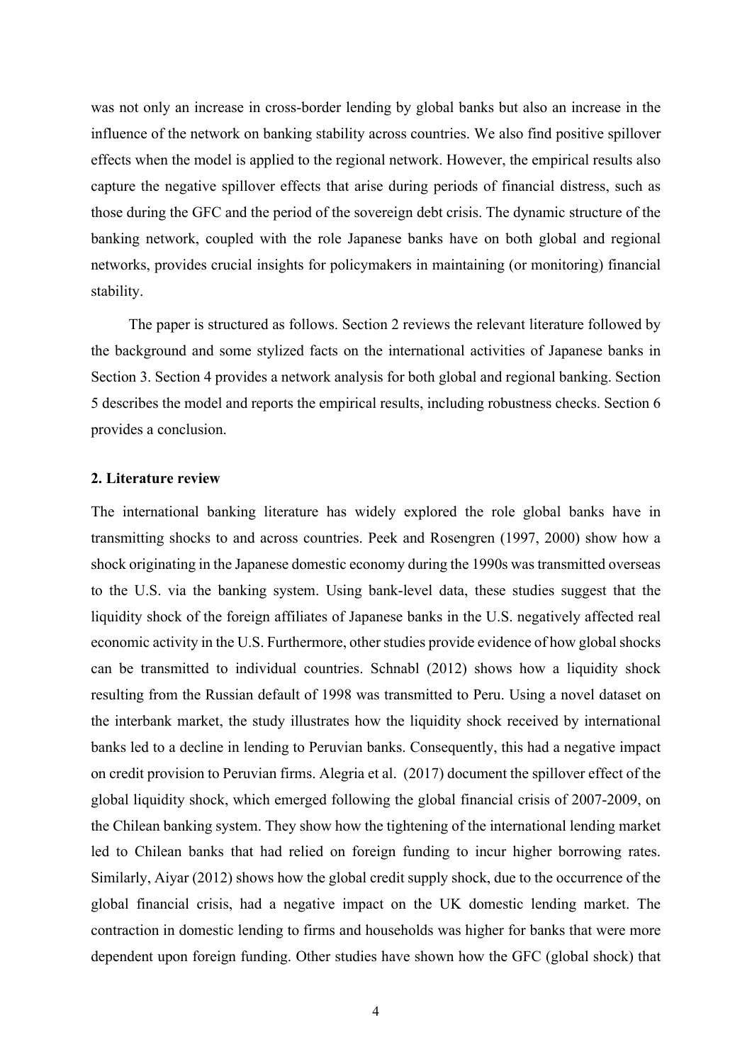was not only an increase in cross-border lending by global banks but also an increase in the influence of the network on banking stability across countries. We also find positive spillover effects when the model is applied to the regional network. However, the empirical results also capture the negative spillover effects that arise during periods of financial distress, such as those during the GFC and the period of the sovereign debt crisis. The dynamic structure of the banking network, coupled with the role Japanese banks have on both global and regional networks, provides crucial insights for policymakers in maintaining (or monitoring) financial stability.

The paper is structured as follows. Section 2 reviews the relevant literature followed by the background and some stylized facts on the international activities of Japanese banks in Section 3. Section 4 provides a network analysis for both global and regional banking. Section 5 describes the model and reports the empirical results, including robustness checks. Section 6 provides a conclusion.

#### **2. Literature review**

The international banking literature has widely explored the role global banks have in transmitting shocks to and across countries. Peek and Rosengren (1997, 2000) show how a shock originating in the Japanese domestic economy during the 1990s was transmitted overseas to the U.S. via the banking system. Using bank-level data, these studies suggest that the liquidity shock of the foreign affiliates of Japanese banks in the U.S. negatively affected real economic activity in the U.S. Furthermore, other studies provide evidence of how global shocks can be transmitted to individual countries. Schnabl (2012) shows how a liquidity shock resulting from the Russian default of 1998 was transmitted to Peru. Using a novel dataset on the interbank market, the study illustrates how the liquidity shock received by international banks led to a decline in lending to Peruvian banks. Consequently, this had a negative impact on credit provision to Peruvian firms. Alegria et al. (2017) document the spillover effect of the global liquidity shock, which emerged following the global financial crisis of 2007-2009, on the Chilean banking system. They show how the tightening of the international lending market led to Chilean banks that had relied on foreign funding to incur higher borrowing rates. Similarly, Aiyar (2012) shows how the global credit supply shock, due to the occurrence of the global financial crisis, had a negative impact on the UK domestic lending market. The contraction in domestic lending to firms and households was higher for banks that were more dependent upon foreign funding. Other studies have shown how the GFC (global shock) that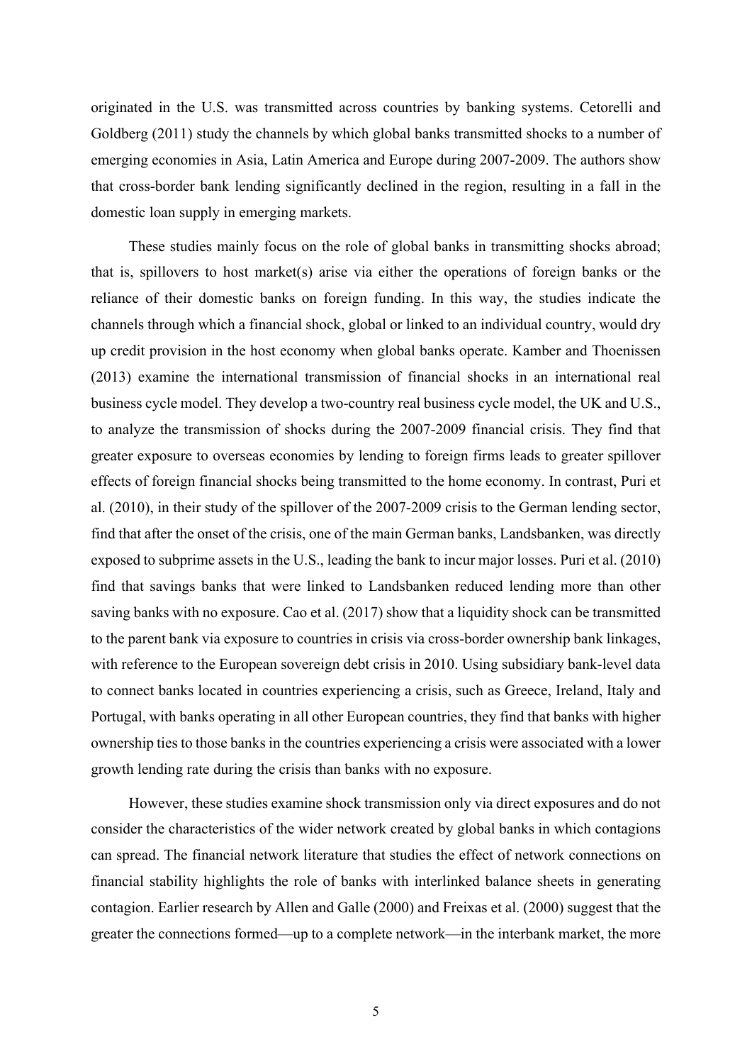originated in the U.S. was transmitted across countries by banking systems. Cetorelli and Goldberg (2011) study the channels by which global banks transmitted shocks to a number of emerging economies in Asia, Latin America and Europe during 2007-2009. The authors show that cross-border bank lending significantly declined in the region, resulting in a fall in the domestic loan supply in emerging markets.

These studies mainly focus on the role of global banks in transmitting shocks abroad; that is, spillovers to host market(s) arise via either the operations of foreign banks or the reliance of their domestic banks on foreign funding. In this way, the studies indicate the channels through which a financial shock, global or linked to an individual country, would dry up credit provision in the host economy when global banks operate. Kamber and Thoenissen (2013) examine the international transmission of financial shocks in an international real business cycle model. They develop a two-country real business cycle model, the UK and U.S., to analyze the transmission of shocks during the 2007-2009 financial crisis. They find that greater exposure to overseas economies by lending to foreign firms leads to greater spillover effects of foreign financial shocks being transmitted to the home economy. In contrast, Puri et al. (2010), in their study of the spillover of the 2007-2009 crisis to the German lending sector, find that after the onset of the crisis, one of the main German banks, Landsbanken, was directly exposed to subprime assets in the U.S., leading the bank to incur major losses. Puri et al. (2010) find that savings banks that were linked to Landsbanken reduced lending more than other saving banks with no exposure. Cao et al. (2017) show that a liquidity shock can be transmitted to the parent bank via exposure to countries in crisis via cross-border ownership bank linkages, with reference to the European sovereign debt crisis in 2010. Using subsidiary bank-level data to connect banks located in countries experiencing a crisis, such as Greece, Ireland, Italy and Portugal, with banks operating in all other European countries, they find that banks with higher ownership ties to those banks in the countries experiencing a crisis were associated with a lower growth lending rate during the crisis than banks with no exposure.

However, these studies examine shock transmission only via direct exposures and do not consider the characteristics of the wider network created by global banks in which contagions can spread. The financial network literature that studies the effect of network connections on financial stability highlights the role of banks with interlinked balance sheets in generating contagion. Earlier research by Allen and Galle (2000) and Freixas et al. (2000) suggest that the greater the connections formed—up to a complete network—in the interbank market, the more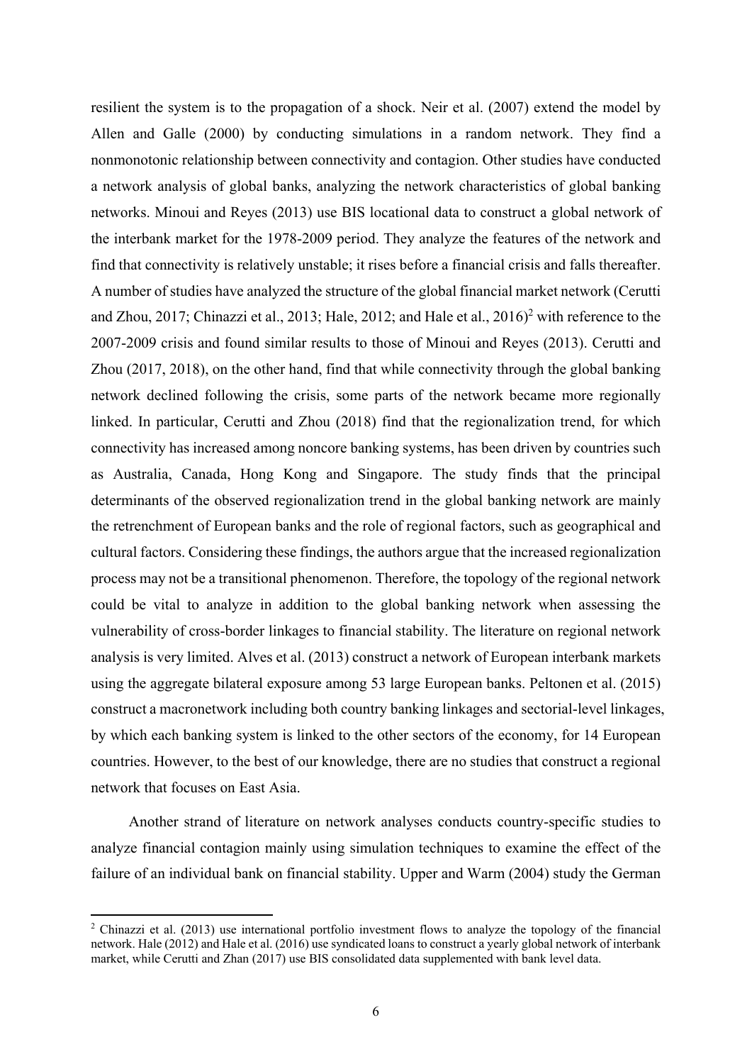resilient the system is to the propagation of a shock. Neir et al. (2007) extend the model by Allen and Galle (2000) by conducting simulations in a random network. They find a nonmonotonic relationship between connectivity and contagion. Other studies have conducted a network analysis of global banks, analyzing the network characteristics of global banking networks. Minoui and Reyes (2013) use BIS locational data to construct a global network of the interbank market for the 1978-2009 period. They analyze the features of the network and find that connectivity is relatively unstable; it rises before a financial crisis and falls thereafter. A number of studies have analyzed the structure of the global financial market network (Cerutti and Zhou, 2017; Chinazzi et al., 2013; Hale, 2012; and Hale et al., 2016)<sup>2</sup> with reference to the 2007-2009 crisis and found similar results to those of Minoui and Reyes (2013). Cerutti and Zhou (2017, 2018), on the other hand, find that while connectivity through the global banking network declined following the crisis, some parts of the network became more regionally linked. In particular, Cerutti and Zhou (2018) find that the regionalization trend, for which connectivity has increased among noncore banking systems, has been driven by countries such as Australia, Canada, Hong Kong and Singapore. The study finds that the principal determinants of the observed regionalization trend in the global banking network are mainly the retrenchment of European banks and the role of regional factors, such as geographical and cultural factors. Considering these findings, the authors argue that the increased regionalization process may not be a transitional phenomenon. Therefore, the topology of the regional network could be vital to analyze in addition to the global banking network when assessing the vulnerability of cross-border linkages to financial stability. The literature on regional network analysis is very limited. Alves et al. (2013) construct a network of European interbank markets using the aggregate bilateral exposure among 53 large European banks. Peltonen et al. (2015) construct a macronetwork including both country banking linkages and sectorial-level linkages, by which each banking system is linked to the other sectors of the economy, for 14 European countries. However, to the best of our knowledge, there are no studies that construct a regional network that focuses on East Asia.

Another strand of literature on network analyses conducts country-specific studies to analyze financial contagion mainly using simulation techniques to examine the effect of the failure of an individual bank on financial stability. Upper and Warm (2004) study the German

<sup>&</sup>lt;sup>2</sup> Chinazzi et al. (2013) use international portfolio investment flows to analyze the topology of the financial network. Hale (2012) and Hale et al. (2016) use syndicated loans to construct a yearly global network of interbank market, while Cerutti and Zhan (2017) use BIS consolidated data supplemented with bank level data.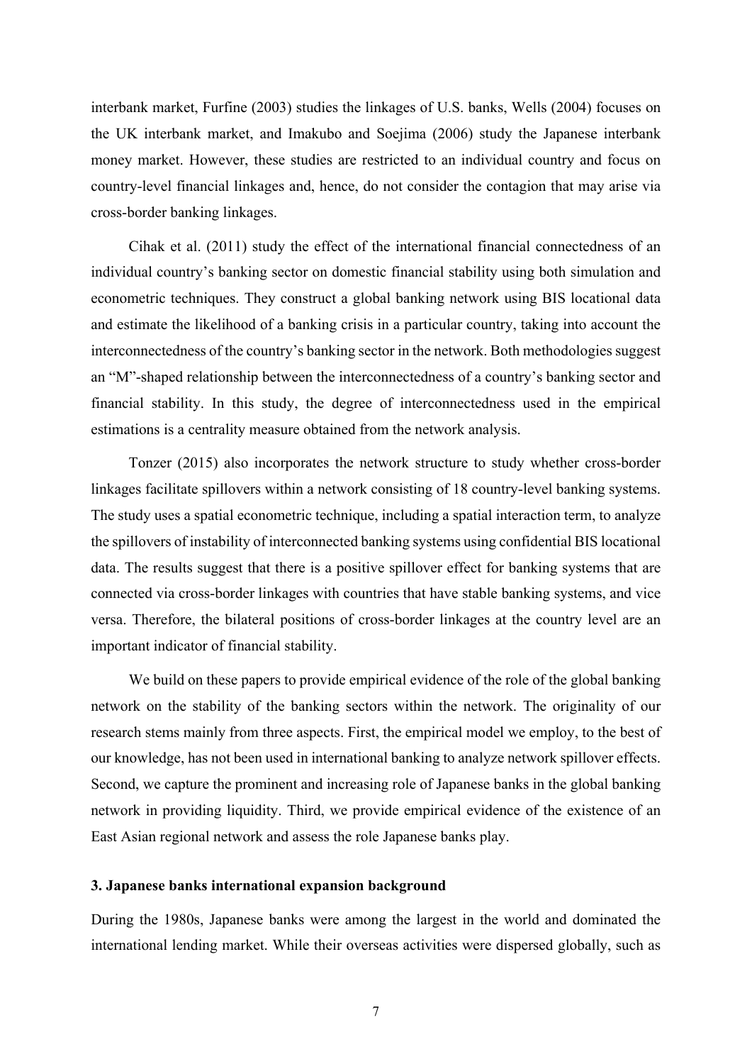interbank market, Furfine (2003) studies the linkages of U.S. banks, Wells (2004) focuses on the UK interbank market, and Imakubo and Soejima (2006) study the Japanese interbank money market. However, these studies are restricted to an individual country and focus on country-level financial linkages and, hence, do not consider the contagion that may arise via cross-border banking linkages.

Cihak et al. (2011) study the effect of the international financial connectedness of an individual country's banking sector on domestic financial stability using both simulation and econometric techniques. They construct a global banking network using BIS locational data and estimate the likelihood of a banking crisis in a particular country, taking into account the interconnectedness of the country's banking sector in the network. Both methodologies suggest an "M"-shaped relationship between the interconnectedness of a country's banking sector and financial stability. In this study, the degree of interconnectedness used in the empirical estimations is a centrality measure obtained from the network analysis.

Tonzer (2015) also incorporates the network structure to study whether cross-border linkages facilitate spillovers within a network consisting of 18 country-level banking systems. The study uses a spatial econometric technique, including a spatial interaction term, to analyze the spillovers of instability of interconnected banking systems using confidential BIS locational data. The results suggest that there is a positive spillover effect for banking systems that are connected via cross-border linkages with countries that have stable banking systems, and vice versa. Therefore, the bilateral positions of cross-border linkages at the country level are an important indicator of financial stability.

We build on these papers to provide empirical evidence of the role of the global banking network on the stability of the banking sectors within the network. The originality of our research stems mainly from three aspects. First, the empirical model we employ, to the best of our knowledge, has not been used in international banking to analyze network spillover effects. Second, we capture the prominent and increasing role of Japanese banks in the global banking network in providing liquidity. Third, we provide empirical evidence of the existence of an East Asian regional network and assess the role Japanese banks play.

#### **3. Japanese banks international expansion background**

During the 1980s, Japanese banks were among the largest in the world and dominated the international lending market. While their overseas activities were dispersed globally, such as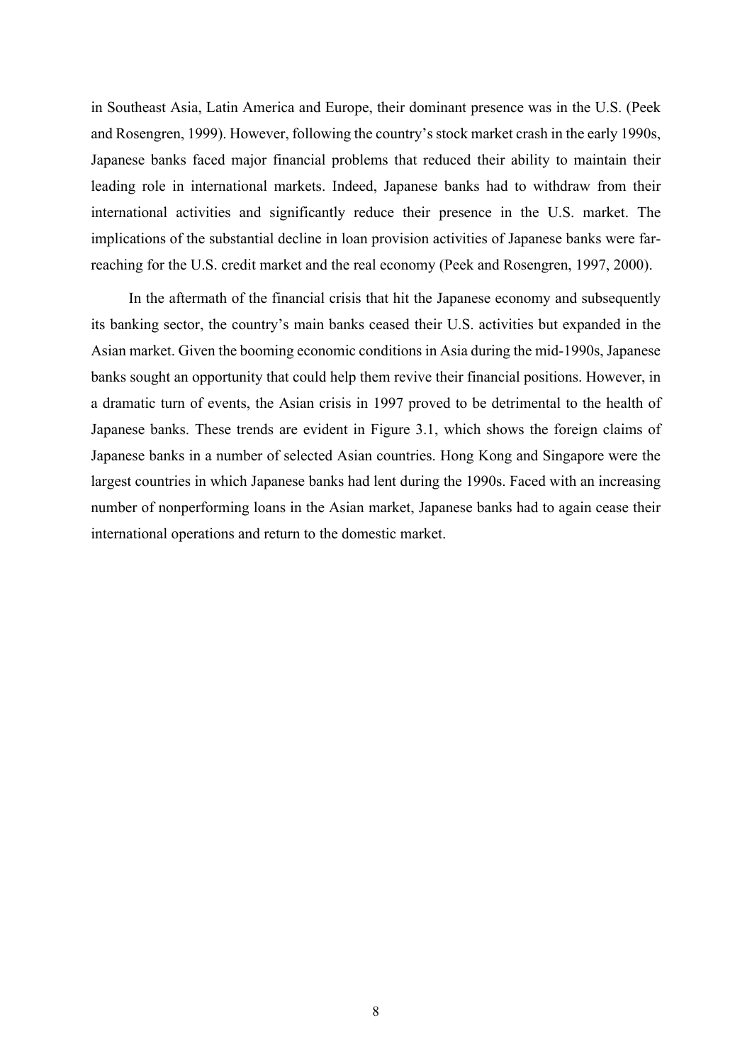in Southeast Asia, Latin America and Europe, their dominant presence was in the U.S. (Peek and Rosengren, 1999). However, following the country's stock market crash in the early 1990s, Japanese banks faced major financial problems that reduced their ability to maintain their leading role in international markets. Indeed, Japanese banks had to withdraw from their international activities and significantly reduce their presence in the U.S. market. The implications of the substantial decline in loan provision activities of Japanese banks were farreaching for the U.S. credit market and the real economy (Peek and Rosengren, 1997, 2000).

In the aftermath of the financial crisis that hit the Japanese economy and subsequently its banking sector, the country's main banks ceased their U.S. activities but expanded in the Asian market. Given the booming economic conditions in Asia during the mid-1990s, Japanese banks sought an opportunity that could help them revive their financial positions. However, in a dramatic turn of events, the Asian crisis in 1997 proved to be detrimental to the health of Japanese banks. These trends are evident in Figure 3.1, which shows the foreign claims of Japanese banks in a number of selected Asian countries. Hong Kong and Singapore were the largest countries in which Japanese banks had lent during the 1990s. Faced with an increasing number of nonperforming loans in the Asian market, Japanese banks had to again cease their international operations and return to the domestic market.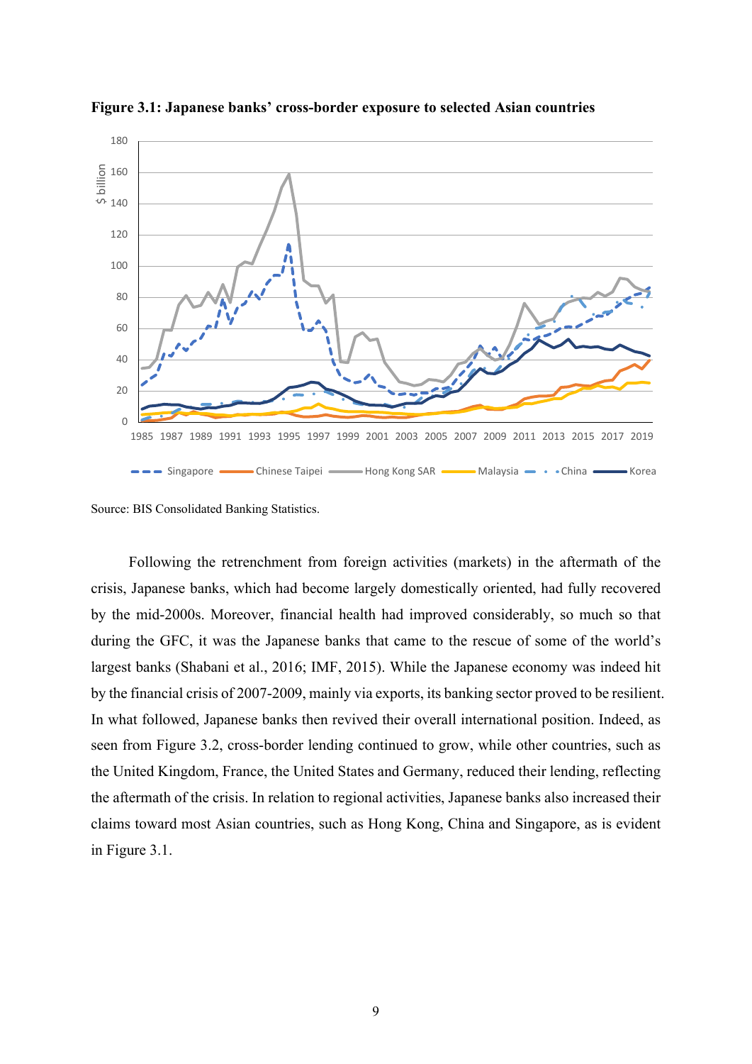

**Figure 3.1: Japanese banks' cross-border exposure to selected Asian countries** 

Source: BIS Consolidated Banking Statistics.

Following the retrenchment from foreign activities (markets) in the aftermath of the crisis, Japanese banks, which had become largely domestically oriented, had fully recovered by the mid-2000s. Moreover, financial health had improved considerably, so much so that during the GFC, it was the Japanese banks that came to the rescue of some of the world's largest banks (Shabani et al., 2016; IMF, 2015). While the Japanese economy was indeed hit by the financial crisis of 2007-2009, mainly via exports, its banking sector proved to be resilient. In what followed, Japanese banks then revived their overall international position. Indeed, as seen from Figure 3.2, cross-border lending continued to grow, while other countries, such as the United Kingdom, France, the United States and Germany, reduced their lending, reflecting the aftermath of the crisis. In relation to regional activities, Japanese banks also increased their claims toward most Asian countries, such as Hong Kong, China and Singapore, as is evident in Figure 3.1.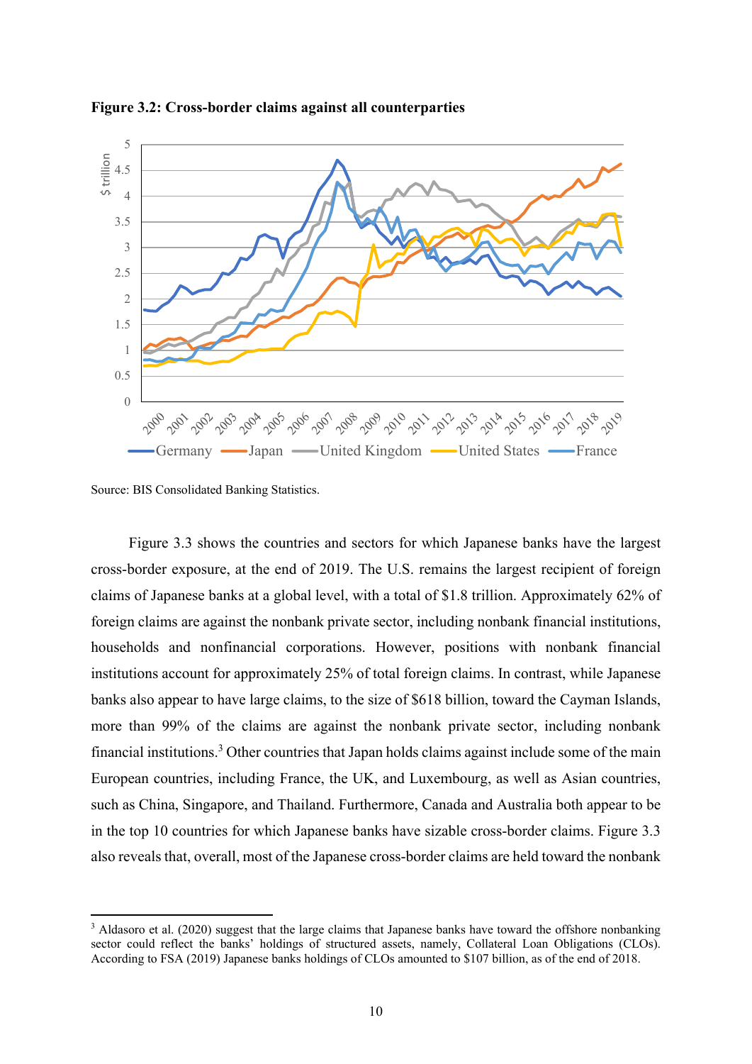

**Figure 3.2: Cross-border claims against all counterparties**

Source: BIS Consolidated Banking Statistics.

Figure 3.3 shows the countries and sectors for which Japanese banks have the largest cross-border exposure, at the end of 2019. The U.S. remains the largest recipient of foreign claims of Japanese banks at a global level, with a total of \$1.8 trillion. Approximately 62% of foreign claims are against the nonbank private sector, including nonbank financial institutions, households and nonfinancial corporations. However, positions with nonbank financial institutions account for approximately 25% of total foreign claims. In contrast, while Japanese banks also appear to have large claims, to the size of \$618 billion, toward the Cayman Islands, more than 99% of the claims are against the nonbank private sector, including nonbank financial institutions.<sup>3</sup> Other countries that Japan holds claims against include some of the main European countries, including France, the UK, and Luxembourg, as well as Asian countries, such as China, Singapore, and Thailand. Furthermore, Canada and Australia both appear to be in the top 10 countries for which Japanese banks have sizable cross-border claims. Figure 3.3 also reveals that, overall, most of the Japanese cross-border claims are held toward the nonbank

<sup>&</sup>lt;sup>3</sup> Aldasoro et al. (2020) suggest that the large claims that Japanese banks have toward the offshore nonbanking sector could reflect the banks' holdings of structured assets, namely, Collateral Loan Obligations (CLOs). According to FSA (2019) Japanese banks holdings of CLOs amounted to \$107 billion, as of the end of 2018.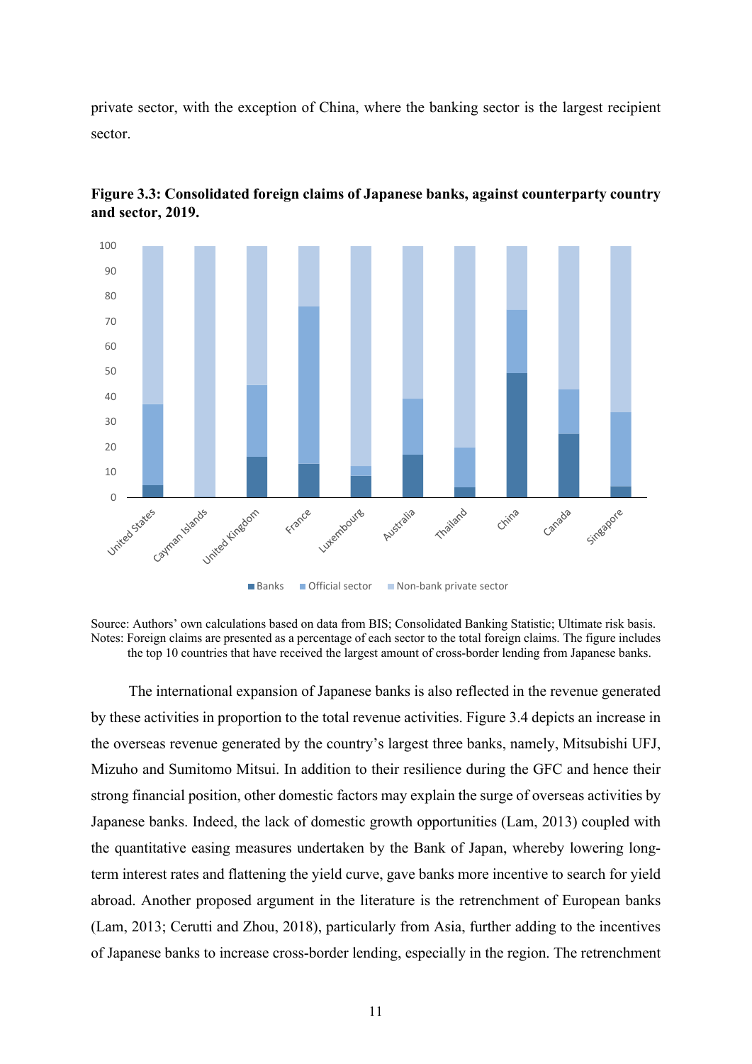private sector, with the exception of China, where the banking sector is the largest recipient sector.



**Figure 3.3: Consolidated foreign claims of Japanese banks, against counterparty country and sector, 2019.** 

The international expansion of Japanese banks is also reflected in the revenue generated by these activities in proportion to the total revenue activities. Figure 3.4 depicts an increase in the overseas revenue generated by the country's largest three banks, namely, Mitsubishi UFJ, Mizuho and Sumitomo Mitsui. In addition to their resilience during the GFC and hence their strong financial position, other domestic factors may explain the surge of overseas activities by Japanese banks. Indeed, the lack of domestic growth opportunities (Lam, 2013) coupled with the quantitative easing measures undertaken by the Bank of Japan, whereby lowering longterm interest rates and flattening the yield curve, gave banks more incentive to search for yield abroad. Another proposed argument in the literature is the retrenchment of European banks (Lam, 2013; Cerutti and Zhou, 2018), particularly from Asia, further adding to the incentives of Japanese banks to increase cross-border lending, especially in the region. The retrenchment

Source: Authors' own calculations based on data from BIS; Consolidated Banking Statistic; Ultimate risk basis. Notes: Foreign claims are presented as a percentage of each sector to the total foreign claims. The figure includes the top 10 countries that have received the largest amount of cross-border lending from Japanese banks.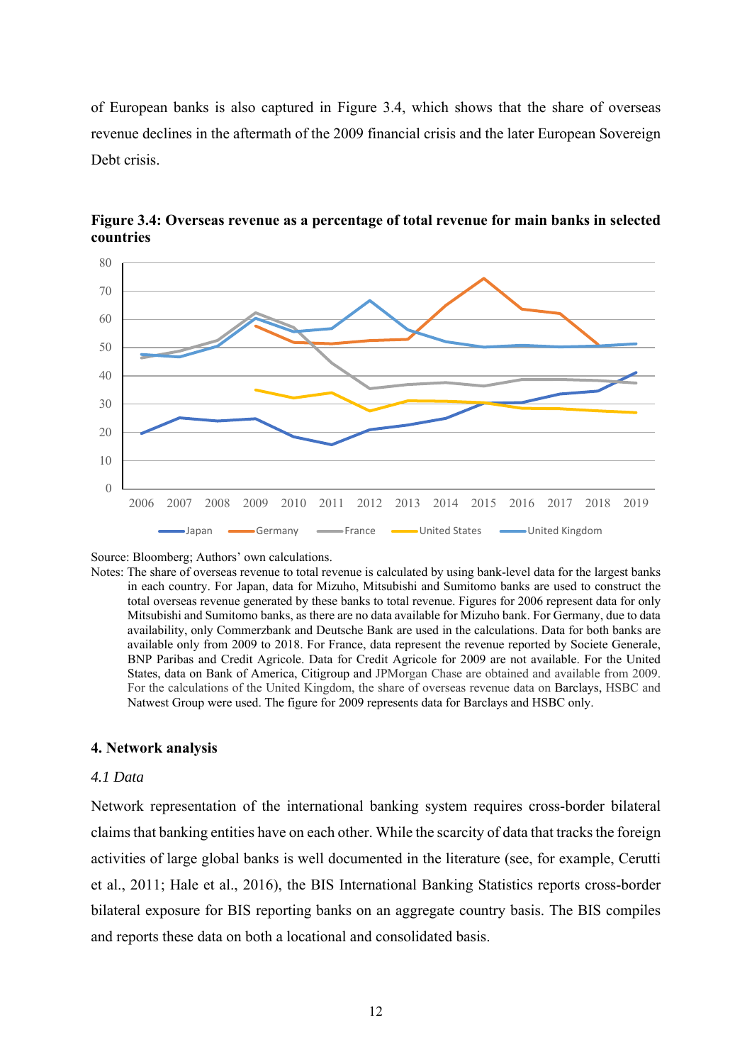of European banks is also captured in Figure 3.4, which shows that the share of overseas revenue declines in the aftermath of the 2009 financial crisis and the later European Sovereign Debt crisis.



**Figure 3.4: Overseas revenue as a percentage of total revenue for main banks in selected countries** 

Source: Bloomberg; Authors' own calculations.

Notes: The share of overseas revenue to total revenue is calculated by using bank-level data for the largest banks in each country. For Japan, data for Mizuho, Mitsubishi and Sumitomo banks are used to construct the total overseas revenue generated by these banks to total revenue. Figures for 2006 represent data for only Mitsubishi and Sumitomo banks, as there are no data available for Mizuho bank. For Germany, due to data availability, only Commerzbank and Deutsche Bank are used in the calculations. Data for both banks are available only from 2009 to 2018. For France, data represent the revenue reported by Societe Generale, BNP Paribas and Credit Agricole. Data for Credit Agricole for 2009 are not available. For the United States, data on Bank of America, Citigroup and JPMorgan Chase are obtained and available from 2009. For the calculations of the United Kingdom, the share of overseas revenue data on Barclays, HSBC and Natwest Group were used. The figure for 2009 represents data for Barclays and HSBC only.

#### **4. Network analysis**

### *4.1 Data*

Network representation of the international banking system requires cross-border bilateral claims that banking entities have on each other. While the scarcity of data that tracks the foreign activities of large global banks is well documented in the literature (see, for example, Cerutti et al., 2011; Hale et al., 2016), the BIS International Banking Statistics reports cross-border bilateral exposure for BIS reporting banks on an aggregate country basis. The BIS compiles and reports these data on both a locational and consolidated basis.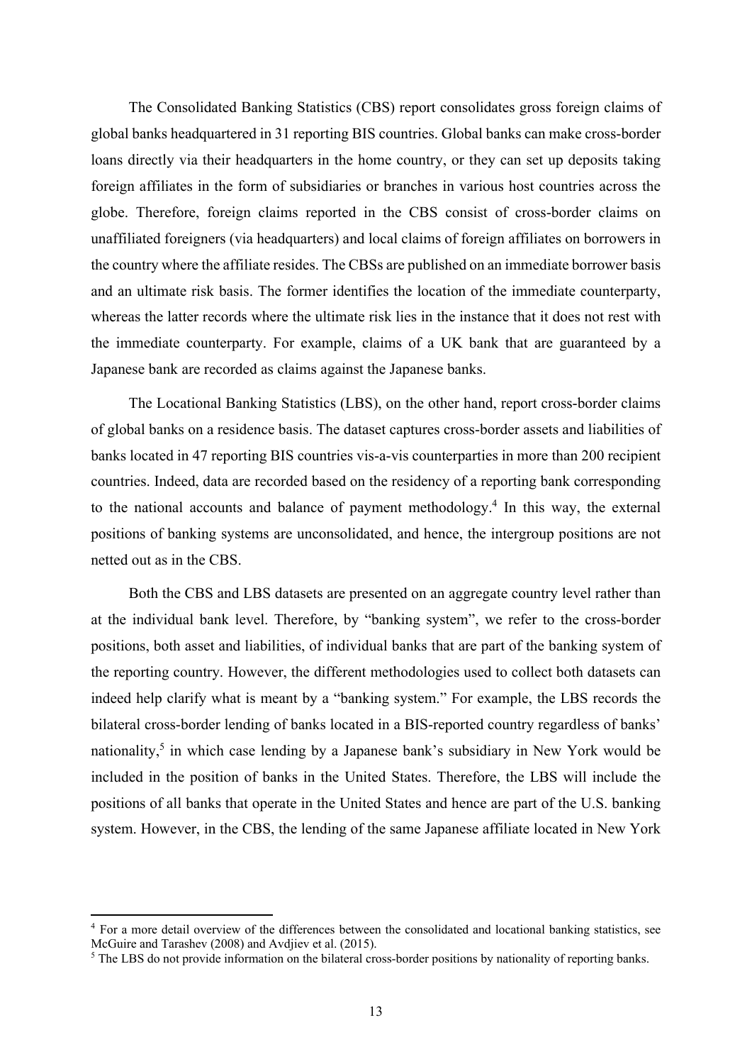The Consolidated Banking Statistics (CBS) report consolidates gross foreign claims of global banks headquartered in 31 reporting BIS countries. Global banks can make cross-border loans directly via their headquarters in the home country, or they can set up deposits taking foreign affiliates in the form of subsidiaries or branches in various host countries across the globe. Therefore, foreign claims reported in the CBS consist of cross-border claims on unaffiliated foreigners (via headquarters) and local claims of foreign affiliates on borrowers in the country where the affiliate resides. The CBSs are published on an immediate borrower basis and an ultimate risk basis. The former identifies the location of the immediate counterparty, whereas the latter records where the ultimate risk lies in the instance that it does not rest with the immediate counterparty. For example, claims of a UK bank that are guaranteed by a Japanese bank are recorded as claims against the Japanese banks.

The Locational Banking Statistics (LBS), on the other hand, report cross-border claims of global banks on a residence basis. The dataset captures cross-border assets and liabilities of banks located in 47 reporting BIS countries vis-a-vis counterparties in more than 200 recipient countries. Indeed, data are recorded based on the residency of a reporting bank corresponding to the national accounts and balance of payment methodology.<sup>4</sup> In this way, the external positions of banking systems are unconsolidated, and hence, the intergroup positions are not netted out as in the CBS.

Both the CBS and LBS datasets are presented on an aggregate country level rather than at the individual bank level. Therefore, by "banking system", we refer to the cross-border positions, both asset and liabilities, of individual banks that are part of the banking system of the reporting country. However, the different methodologies used to collect both datasets can indeed help clarify what is meant by a "banking system." For example, the LBS records the bilateral cross-border lending of banks located in a BIS-reported country regardless of banks' nationality,<sup>5</sup> in which case lending by a Japanese bank's subsidiary in New York would be included in the position of banks in the United States. Therefore, the LBS will include the positions of all banks that operate in the United States and hence are part of the U.S. banking system. However, in the CBS, the lending of the same Japanese affiliate located in New York

<sup>&</sup>lt;sup>4</sup> For a more detail overview of the differences between the consolidated and locational banking statistics, see McGuire and Tarashev (2008) and Avdjiev et al. (2015).

<sup>&</sup>lt;sup>5</sup> The LBS do not provide information on the bilateral cross-border positions by nationality of reporting banks.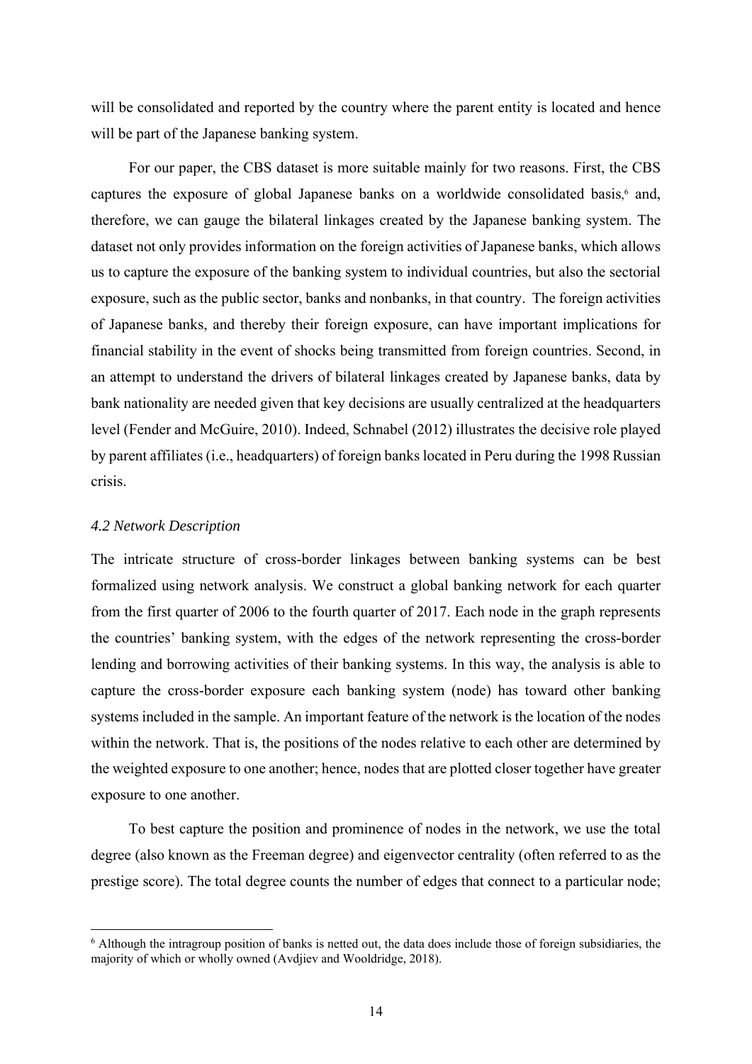will be consolidated and reported by the country where the parent entity is located and hence will be part of the Japanese banking system.

For our paper, the CBS dataset is more suitable mainly for two reasons. First, the CBS captures the exposure of global Japanese banks on a worldwide consolidated basis,<sup>6</sup> and, therefore, we can gauge the bilateral linkages created by the Japanese banking system. The dataset not only provides information on the foreign activities of Japanese banks, which allows us to capture the exposure of the banking system to individual countries, but also the sectorial exposure, such as the public sector, banks and nonbanks, in that country. The foreign activities of Japanese banks, and thereby their foreign exposure, can have important implications for financial stability in the event of shocks being transmitted from foreign countries. Second, in an attempt to understand the drivers of bilateral linkages created by Japanese banks, data by bank nationality are needed given that key decisions are usually centralized at the headquarters level (Fender and McGuire, 2010). Indeed, Schnabel (2012) illustrates the decisive role played by parent affiliates (i.e., headquarters) of foreign banks located in Peru during the 1998 Russian crisis.

#### *4.2 Network Description*

The intricate structure of cross-border linkages between banking systems can be best formalized using network analysis. We construct a global banking network for each quarter from the first quarter of 2006 to the fourth quarter of 2017. Each node in the graph represents the countries' banking system, with the edges of the network representing the cross-border lending and borrowing activities of their banking systems. In this way, the analysis is able to capture the cross-border exposure each banking system (node) has toward other banking systems included in the sample. An important feature of the network is the location of the nodes within the network. That is, the positions of the nodes relative to each other are determined by the weighted exposure to one another; hence, nodes that are plotted closer together have greater exposure to one another.

To best capture the position and prominence of nodes in the network, we use the total degree (also known as the Freeman degree) and eigenvector centrality (often referred to as the prestige score). The total degree counts the number of edges that connect to a particular node;

<sup>6</sup> Although the intragroup position of banks is netted out, the data does include those of foreign subsidiaries, the majority of which or wholly owned (Avdjiev and Wooldridge, 2018).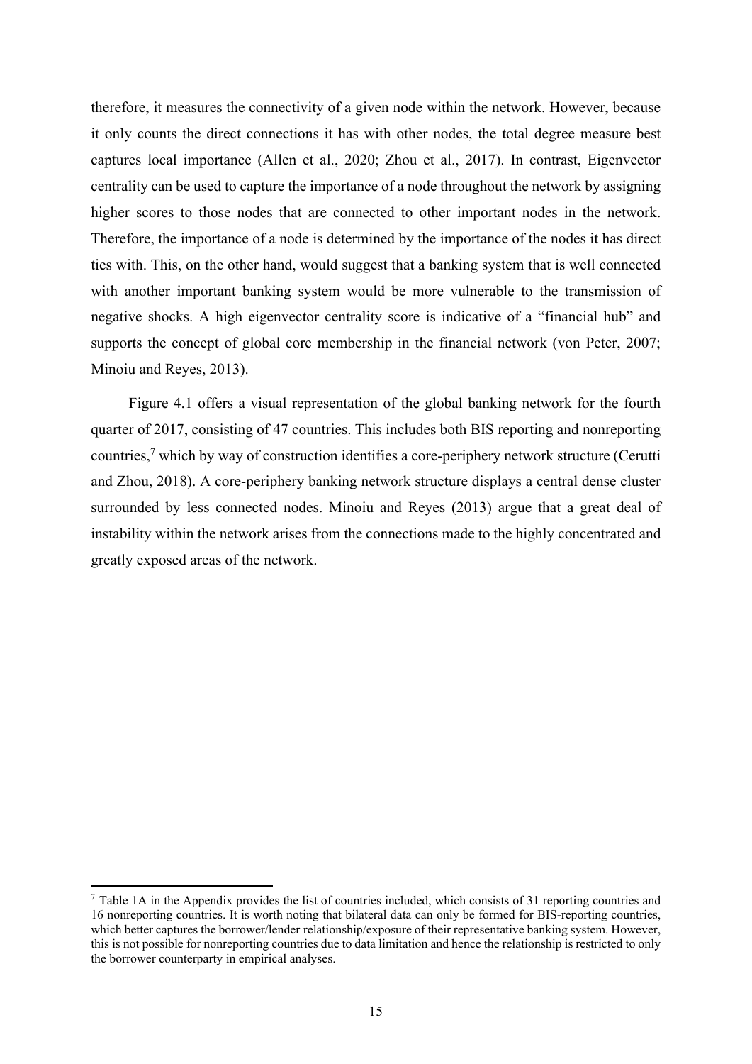therefore, it measures the connectivity of a given node within the network. However, because it only counts the direct connections it has with other nodes, the total degree measure best captures local importance (Allen et al., 2020; Zhou et al., 2017). In contrast, Eigenvector centrality can be used to capture the importance of a node throughout the network by assigning higher scores to those nodes that are connected to other important nodes in the network. Therefore, the importance of a node is determined by the importance of the nodes it has direct ties with. This, on the other hand, would suggest that a banking system that is well connected with another important banking system would be more vulnerable to the transmission of negative shocks. A high eigenvector centrality score is indicative of a "financial hub" and supports the concept of global core membership in the financial network (von Peter, 2007; Minoiu and Reyes, 2013).

Figure 4.1 offers a visual representation of the global banking network for the fourth quarter of 2017, consisting of 47 countries. This includes both BIS reporting and nonreporting countries,<sup>7</sup> which by way of construction identifies a core-periphery network structure (Cerutti and Zhou, 2018). A core-periphery banking network structure displays a central dense cluster surrounded by less connected nodes. Minoiu and Reyes (2013) argue that a great deal of instability within the network arises from the connections made to the highly concentrated and greatly exposed areas of the network.

<sup>7</sup> Table 1A in the Appendix provides the list of countries included, which consists of 31 reporting countries and 16 nonreporting countries. It is worth noting that bilateral data can only be formed for BIS-reporting countries, which better captures the borrower/lender relationship/exposure of their representative banking system. However, this is not possible for nonreporting countries due to data limitation and hence the relationship is restricted to only the borrower counterparty in empirical analyses.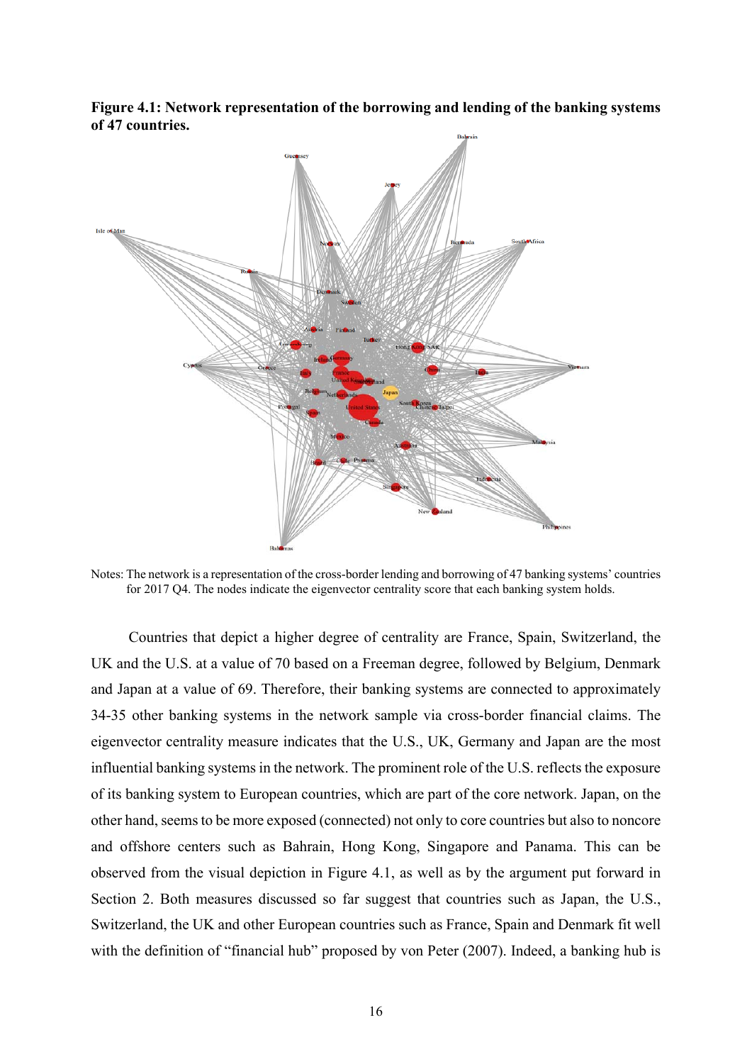**Figure 4.1: Network representation of the borrowing and lending of the banking systems of 47 countries.** 



Notes: The network is a representation of the cross-border lending and borrowing of 47 banking systems' countries for 2017 Q4. The nodes indicate the eigenvector centrality score that each banking system holds.

Countries that depict a higher degree of centrality are France, Spain, Switzerland, the UK and the U.S. at a value of 70 based on a Freeman degree, followed by Belgium, Denmark and Japan at a value of 69. Therefore, their banking systems are connected to approximately 34-35 other banking systems in the network sample via cross-border financial claims. The eigenvector centrality measure indicates that the U.S., UK, Germany and Japan are the most influential banking systems in the network. The prominent role of the U.S. reflects the exposure of its banking system to European countries, which are part of the core network. Japan, on the other hand, seems to be more exposed (connected) not only to core countries but also to noncore and offshore centers such as Bahrain, Hong Kong, Singapore and Panama. This can be observed from the visual depiction in Figure 4.1, as well as by the argument put forward in Section 2. Both measures discussed so far suggest that countries such as Japan, the U.S., Switzerland, the UK and other European countries such as France, Spain and Denmark fit well with the definition of "financial hub" proposed by von Peter (2007). Indeed, a banking hub is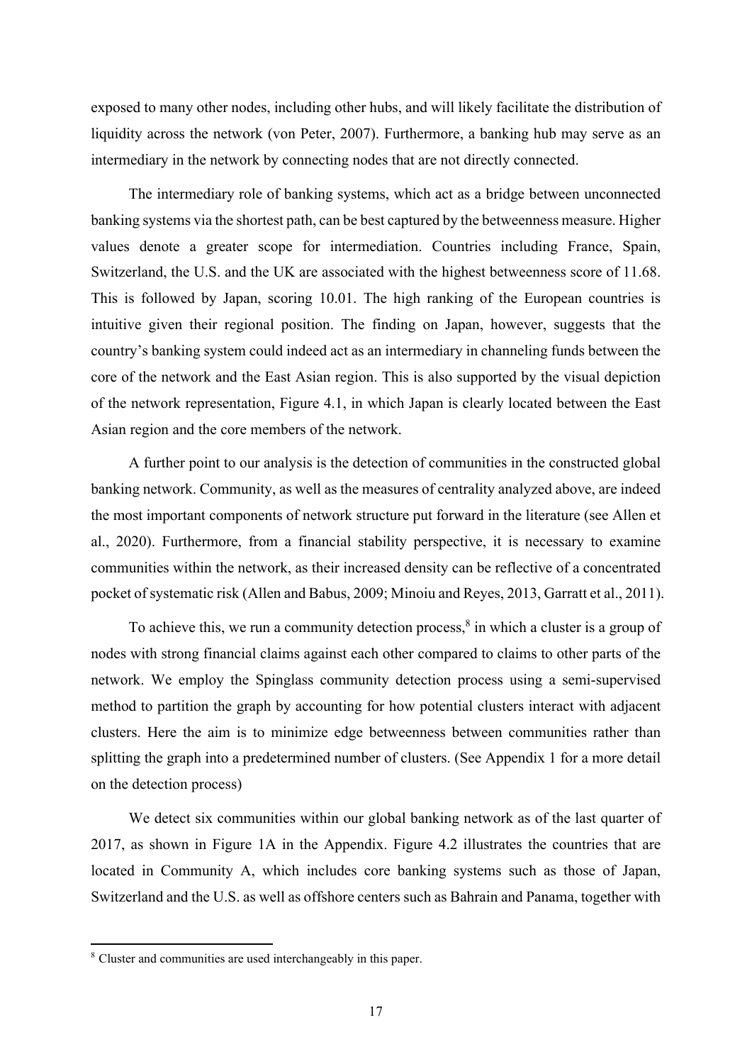exposed to many other nodes, including other hubs, and will likely facilitate the distribution of liquidity across the network (von Peter, 2007). Furthermore, a banking hub may serve as an intermediary in the network by connecting nodes that are not directly connected.

The intermediary role of banking systems, which act as a bridge between unconnected banking systems via the shortest path, can be best captured by the betweenness measure. Higher values denote a greater scope for intermediation. Countries including France, Spain, Switzerland, the U.S. and the UK are associated with the highest betweenness score of 11.68. This is followed by Japan, scoring 10.01. The high ranking of the European countries is intuitive given their regional position. The finding on Japan, however, suggests that the country's banking system could indeed act as an intermediary in channeling funds between the core of the network and the East Asian region. This is also supported by the visual depiction of the network representation, Figure 4.1, in which Japan is clearly located between the East Asian region and the core members of the network.

A further point to our analysis is the detection of communities in the constructed global banking network. Community, as well as the measures of centrality analyzed above, are indeed the most important components of network structure put forward in the literature (see Allen et al., 2020). Furthermore, from a financial stability perspective, it is necessary to examine communities within the network, as their increased density can be reflective of a concentrated pocket of systematic risk (Allen and Babus, 2009; Minoiu and Reyes, 2013, Garratt et al., 2011).

To achieve this, we run a community detection process, $8$  in which a cluster is a group of nodes with strong financial claims against each other compared to claims to other parts of the network. We employ the Spinglass community detection process using a semi-supervised method to partition the graph by accounting for how potential clusters interact with adjacent clusters. Here the aim is to minimize edge betweenness between communities rather than splitting the graph into a predetermined number of clusters. (See Appendix 1 for a more detail on the detection process)

We detect six communities within our global banking network as of the last quarter of 2017, as shown in Figure 1A in the Appendix. Figure 4.2 illustrates the countries that are located in Community A, which includes core banking systems such as those of Japan, Switzerland and the U.S. as well as offshore centers such as Bahrain and Panama, together with

<sup>8</sup> Cluster and communities are used interchangeably in this paper.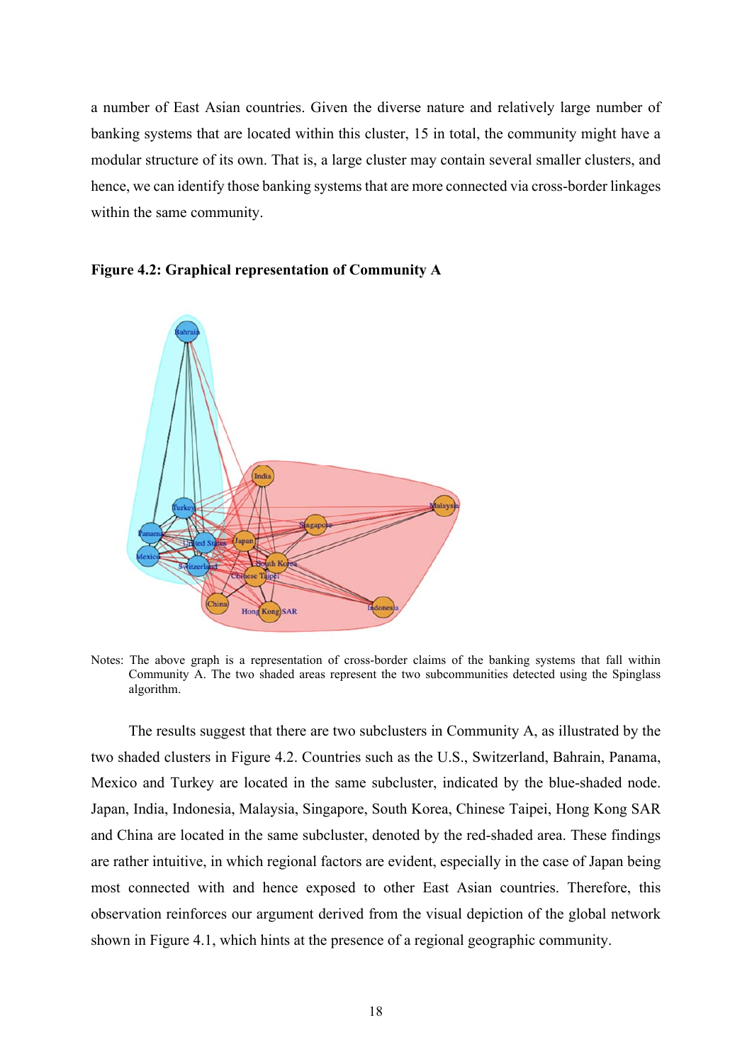a number of East Asian countries. Given the diverse nature and relatively large number of banking systems that are located within this cluster, 15 in total, the community might have a modular structure of its own. That is, a large cluster may contain several smaller clusters, and hence, we can identify those banking systems that are more connected via cross-border linkages within the same community.



### **Figure 4.2: Graphical representation of Community A**

Notes: The above graph is a representation of cross-border claims of the banking systems that fall within Community A. The two shaded areas represent the two subcommunities detected using the Spinglass algorithm.

The results suggest that there are two subclusters in Community A, as illustrated by the two shaded clusters in Figure 4.2. Countries such as the U.S., Switzerland, Bahrain, Panama, Mexico and Turkey are located in the same subcluster, indicated by the blue-shaded node. Japan, India, Indonesia, Malaysia, Singapore, South Korea, Chinese Taipei, Hong Kong SAR and China are located in the same subcluster, denoted by the red-shaded area. These findings are rather intuitive, in which regional factors are evident, especially in the case of Japan being most connected with and hence exposed to other East Asian countries. Therefore, this observation reinforces our argument derived from the visual depiction of the global network shown in Figure 4.1, which hints at the presence of a regional geographic community.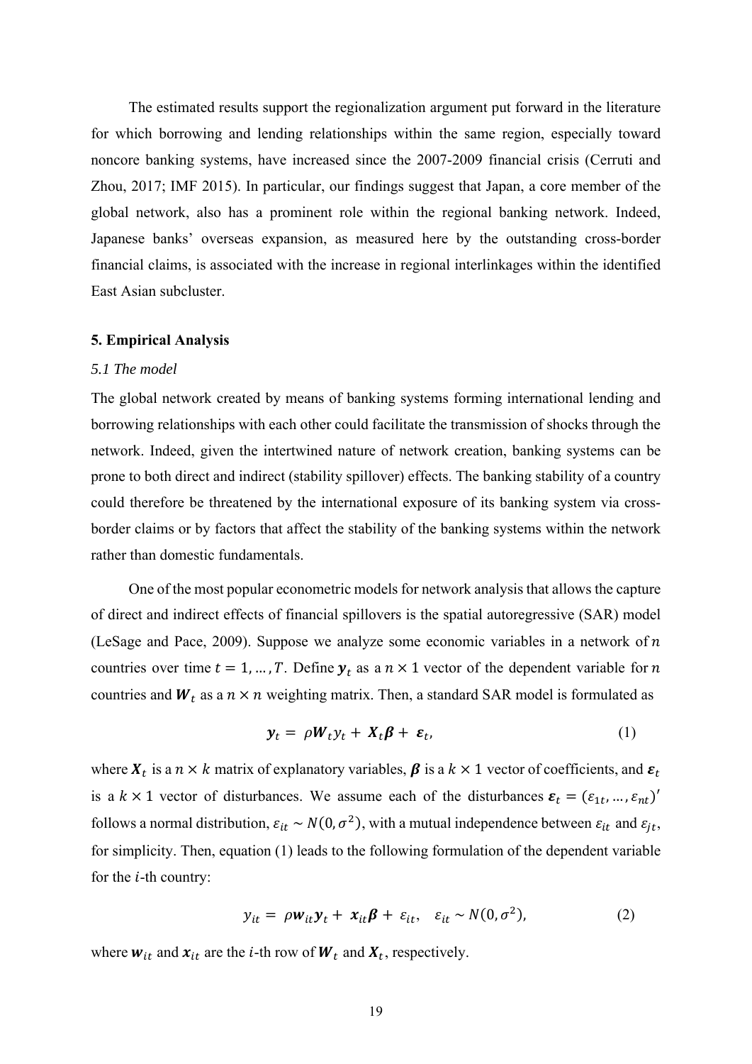The estimated results support the regionalization argument put forward in the literature for which borrowing and lending relationships within the same region, especially toward noncore banking systems, have increased since the 2007-2009 financial crisis (Cerruti and Zhou, 2017; IMF 2015). In particular, our findings suggest that Japan, a core member of the global network, also has a prominent role within the regional banking network. Indeed, Japanese banks' overseas expansion, as measured here by the outstanding cross-border financial claims, is associated with the increase in regional interlinkages within the identified East Asian subcluster.

#### **5. Empirical Analysis**

#### *5.1 The model*

The global network created by means of banking systems forming international lending and borrowing relationships with each other could facilitate the transmission of shocks through the network. Indeed, given the intertwined nature of network creation, banking systems can be prone to both direct and indirect (stability spillover) effects. The banking stability of a country could therefore be threatened by the international exposure of its banking system via crossborder claims or by factors that affect the stability of the banking systems within the network rather than domestic fundamentals.

One of the most popular econometric models for network analysis that allows the capture of direct and indirect effects of financial spillovers is the spatial autoregressive (SAR) model (LeSage and Pace, 2009). Suppose we analyze some economic variables in a network of  $n$ countries over time  $t = 1, ..., T$ . Define  $y_t$  as a  $n \times 1$  vector of the dependent variable for n countries and  $W_t$  as a  $n \times n$  weighting matrix. Then, a standard SAR model is formulated as

$$
\mathbf{y}_t = \rho \mathbf{W}_t \mathbf{y}_t + \mathbf{X}_t \boldsymbol{\beta} + \boldsymbol{\varepsilon}_t, \tag{1}
$$

where  $X_t$  is a  $n \times k$  matrix of explanatory variables,  $\beta$  is a  $k \times 1$  vector of coefficients, and  $\varepsilon_t$ is a  $k \times 1$  vector of disturbances. We assume each of the disturbances  $\varepsilon_t = (\varepsilon_{1t}, \dots, \varepsilon_{nt})'$ follows a normal distribution,  $\varepsilon_{it} \sim N(0, \sigma^2)$ , with a mutual independence between  $\varepsilon_{it}$  and  $\varepsilon_{it}$ , for simplicity. Then, equation (1) leads to the following formulation of the dependent variable for the  $i$ -th country:

$$
y_{it} = \rho w_{it} y_t + x_{it} \beta + \varepsilon_{it}, \quad \varepsilon_{it} \sim N(0, \sigma^2), \tag{2}
$$

where  $w_{it}$  and  $x_{it}$  are the *i*-th row of  $W_t$  and  $X_t$ , respectively.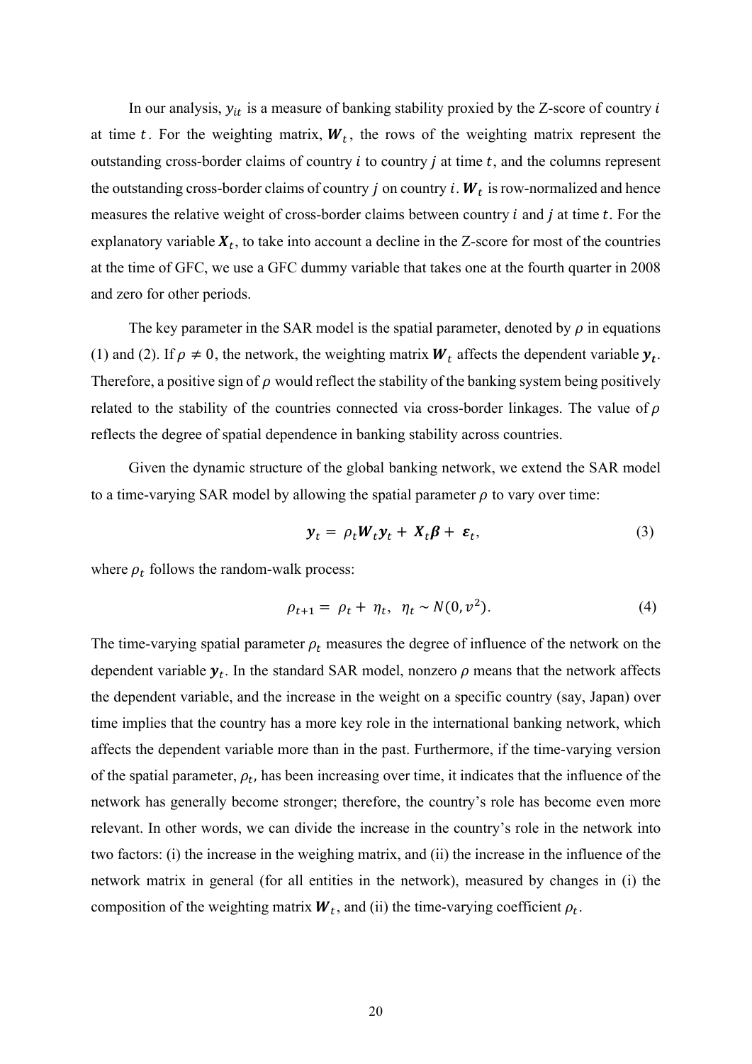In our analysis,  $y_{it}$  is a measure of banking stability proxied by the Z-score of country i at time t. For the weighting matrix,  $W_t$ , the rows of the weighting matrix represent the outstanding cross-border claims of country  $i$  to country  $j$  at time  $t$ , and the columns represent the outstanding cross-border claims of country *j* on country *i*.  $W_t$  is row-normalized and hence measures the relative weight of cross-border claims between country  $i$  and  $j$  at time  $t$ . For the explanatory variable  $X_t$ , to take into account a decline in the Z-score for most of the countries at the time of GFC, we use a GFC dummy variable that takes one at the fourth quarter in 2008 and zero for other periods.

The key parameter in the SAR model is the spatial parameter, denoted by  $\rho$  in equations (1) and (2). If  $\rho \neq 0$ , the network, the weighting matrix  $W_t$  affects the dependent variable  $y_t$ . Therefore, a positive sign of  $\rho$  would reflect the stability of the banking system being positively related to the stability of the countries connected via cross-border linkages. The value of  $\rho$ reflects the degree of spatial dependence in banking stability across countries.

Given the dynamic structure of the global banking network, we extend the SAR model to a time-varying SAR model by allowing the spatial parameter  $\rho$  to vary over time:

$$
\mathbf{y}_t = \rho_t \mathbf{W}_t \mathbf{y}_t + \mathbf{X}_t \boldsymbol{\beta} + \boldsymbol{\varepsilon}_t, \tag{3}
$$

where  $\rho_t$  follows the random-walk process:

$$
\rho_{t+1} = \rho_t + \eta_t, \ \eta_t \sim N(0, v^2). \tag{4}
$$

The time-varying spatial parameter  $\rho_t$  measures the degree of influence of the network on the dependent variable  $y_t$ . In the standard SAR model, nonzero  $\rho$  means that the network affects the dependent variable, and the increase in the weight on a specific country (say, Japan) over time implies that the country has a more key role in the international banking network, which affects the dependent variable more than in the past. Furthermore, if the time-varying version of the spatial parameter,  $\rho_t$ , has been increasing over time, it indicates that the influence of the network has generally become stronger; therefore, the country's role has become even more relevant. In other words, we can divide the increase in the country's role in the network into two factors: (i) the increase in the weighing matrix, and (ii) the increase in the influence of the network matrix in general (for all entities in the network), measured by changes in (i) the composition of the weighting matrix  $W_t$ , and (ii) the time-varying coefficient  $\rho_t$ .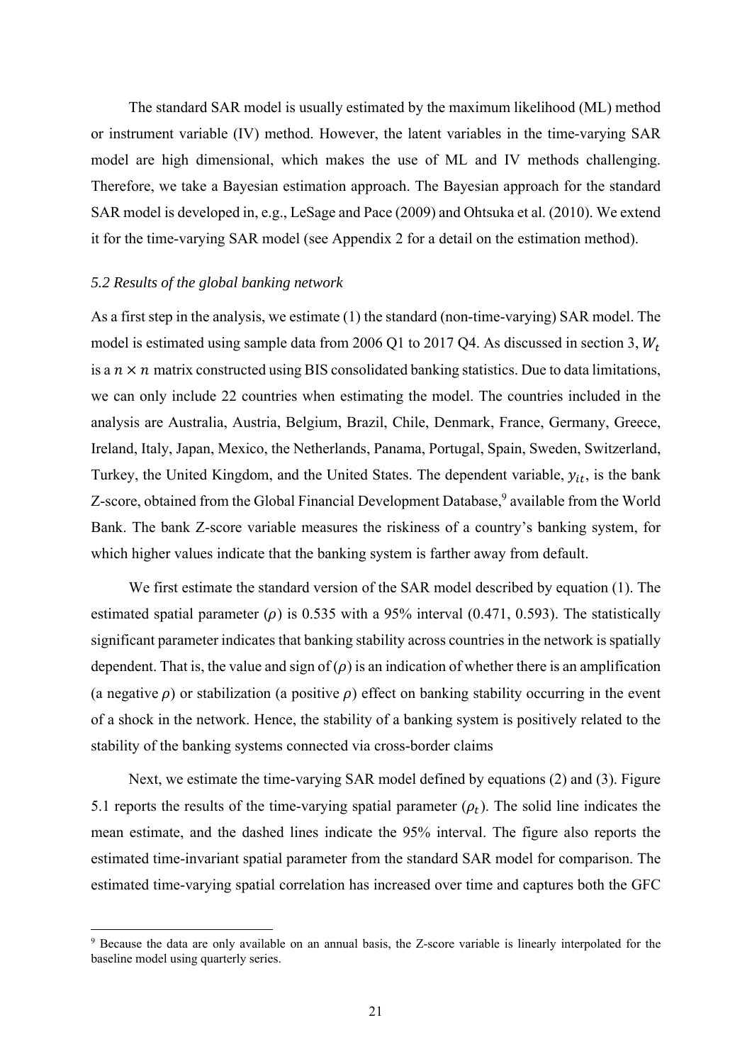The standard SAR model is usually estimated by the maximum likelihood (ML) method or instrument variable (IV) method. However, the latent variables in the time-varying SAR model are high dimensional, which makes the use of ML and IV methods challenging. Therefore, we take a Bayesian estimation approach. The Bayesian approach for the standard SAR model is developed in, e.g., LeSage and Pace (2009) and Ohtsuka et al. (2010). We extend it for the time-varying SAR model (see Appendix 2 for a detail on the estimation method).

#### *5.2 Results of the global banking network*

As a first step in the analysis, we estimate (1) the standard (non-time-varying) SAR model. The model is estimated using sample data from 2006 Q1 to 2017 Q4. As discussed in section 3,  $W_t$ is a  $n \times n$  matrix constructed using BIS consolidated banking statistics. Due to data limitations, we can only include 22 countries when estimating the model. The countries included in the analysis are Australia, Austria, Belgium, Brazil, Chile, Denmark, France, Germany, Greece, Ireland, Italy, Japan, Mexico, the Netherlands, Panama, Portugal, Spain, Sweden, Switzerland, Turkey, the United Kingdom, and the United States. The dependent variable,  $y_{it}$ , is the bank Z-score, obtained from the Global Financial Development Database,<sup>9</sup> available from the World Bank. The bank Z-score variable measures the riskiness of a country's banking system, for which higher values indicate that the banking system is farther away from default.

We first estimate the standard version of the SAR model described by equation (1). The estimated spatial parameter ( $\rho$ ) is 0.535 with a 95% interval (0.471, 0.593). The statistically significant parameter indicates that banking stability across countries in the network is spatially dependent. That is, the value and sign of  $(\rho)$  is an indication of whether there is an amplification (a negative  $\rho$ ) or stabilization (a positive  $\rho$ ) effect on banking stability occurring in the event of a shock in the network. Hence, the stability of a banking system is positively related to the stability of the banking systems connected via cross-border claims

Next, we estimate the time-varying SAR model defined by equations (2) and (3). Figure 5.1 reports the results of the time-varying spatial parameter  $(\rho_t)$ . The solid line indicates the mean estimate, and the dashed lines indicate the 95% interval. The figure also reports the estimated time-invariant spatial parameter from the standard SAR model for comparison. The estimated time-varying spatial correlation has increased over time and captures both the GFC

<sup>9</sup> Because the data are only available on an annual basis, the Z-score variable is linearly interpolated for the baseline model using quarterly series.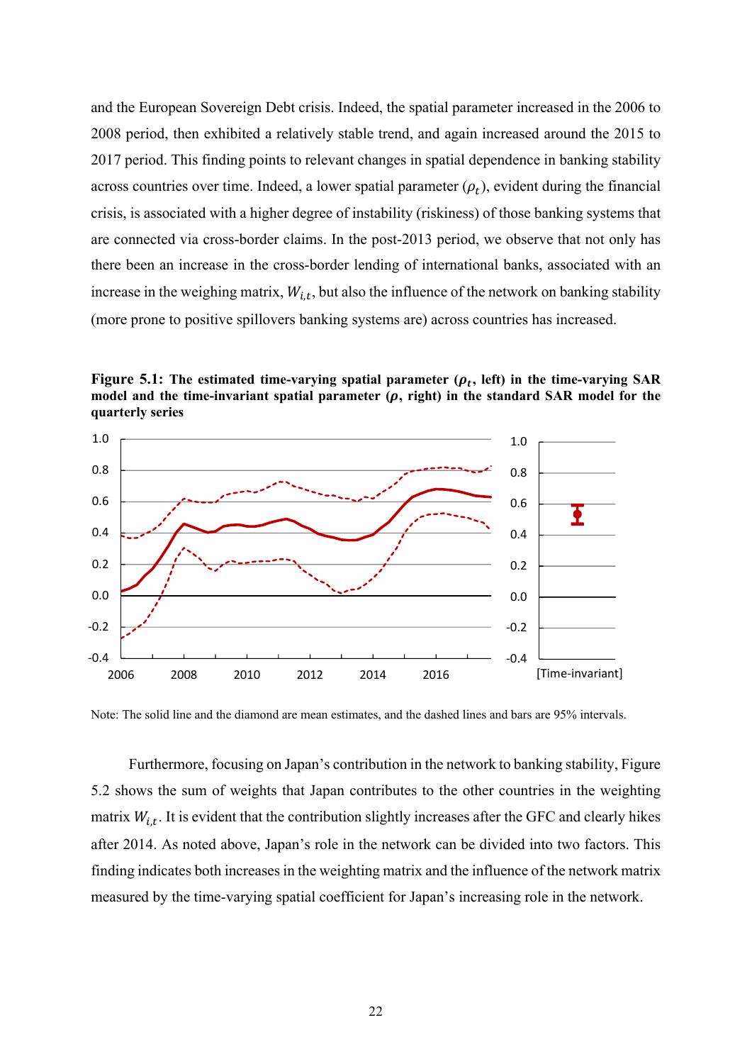and the European Sovereign Debt crisis. Indeed, the spatial parameter increased in the 2006 to 2008 period, then exhibited a relatively stable trend, and again increased around the 2015 to 2017 period. This finding points to relevant changes in spatial dependence in banking stability across countries over time. Indeed, a lower spatial parameter  $(\rho_t)$ , evident during the financial crisis, is associated with a higher degree of instability (riskiness) of those banking systems that are connected via cross-border claims. In the post-2013 period, we observe that not only has there been an increase in the cross-border lending of international banks, associated with an increase in the weighing matrix,  $W_{i,t}$ , but also the influence of the network on banking stability (more prone to positive spillovers banking systems are) across countries has increased.

**Figure 5.1:** The estimated time-varying spatial parameter  $(\rho_t)$ , left) in the time-varying SAR model and the time-invariant spatial parameter  $(\rho,$  right) in the standard SAR model for the **quarterly series** 



Note: The solid line and the diamond are mean estimates, and the dashed lines and bars are 95% intervals.

Furthermore, focusing on Japan's contribution in the network to banking stability, Figure 5.2 shows the sum of weights that Japan contributes to the other countries in the weighting matrix  $W_{i,t}$ . It is evident that the contribution slightly increases after the GFC and clearly hikes after 2014. As noted above, Japan's role in the network can be divided into two factors. This finding indicates both increases in the weighting matrix and the influence of the network matrix measured by the time-varying spatial coefficient for Japan's increasing role in the network.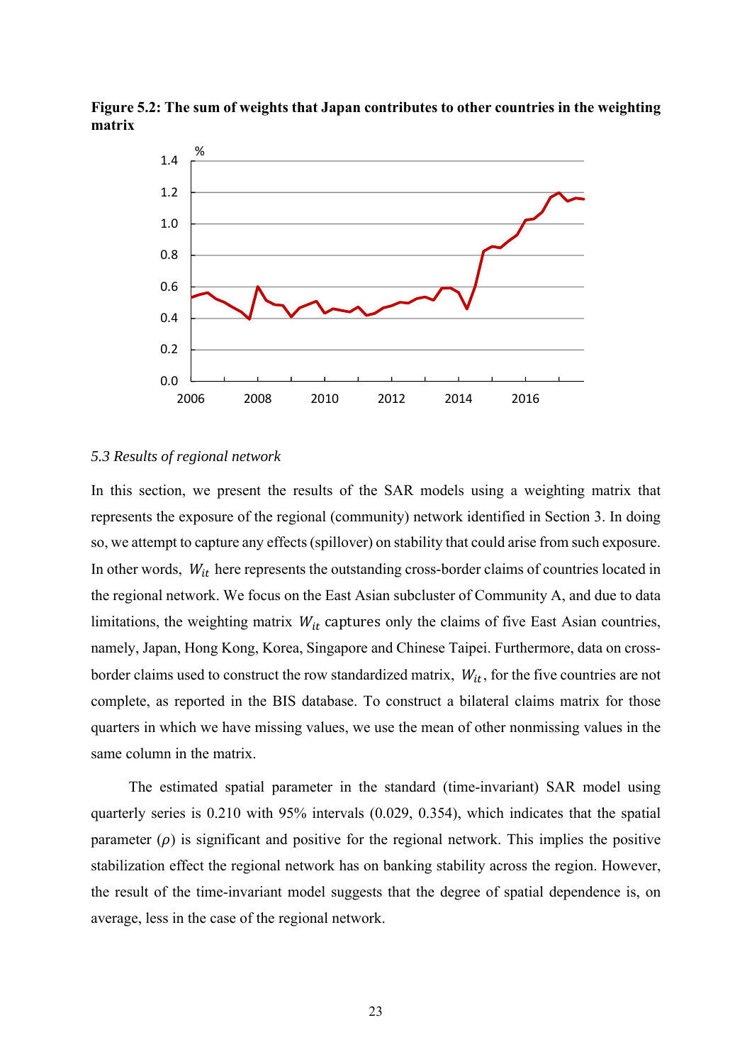

**Figure 5.2: The sum of weights that Japan contributes to other countries in the weighting matrix** 

#### *5.3 Results of regional network*

In this section, we present the results of the SAR models using a weighting matrix that represents the exposure of the regional (community) network identified in Section 3. In doing so, we attempt to capture any effects (spillover) on stability that could arise from such exposure. In other words,  $W_{it}$  here represents the outstanding cross-border claims of countries located in the regional network. We focus on the East Asian subcluster of Community A, and due to data limitations, the weighting matrix  $W_{it}$  captures only the claims of five East Asian countries, namely, Japan, Hong Kong, Korea, Singapore and Chinese Taipei. Furthermore, data on crossborder claims used to construct the row standardized matrix,  $W_{it}$ , for the five countries are not complete, as reported in the BIS database. To construct a bilateral claims matrix for those quarters in which we have missing values, we use the mean of other nonmissing values in the same column in the matrix.

The estimated spatial parameter in the standard (time-invariant) SAR model using quarterly series is 0.210 with 95% intervals (0.029, 0.354), which indicates that the spatial parameter  $(\rho)$  is significant and positive for the regional network. This implies the positive stabilization effect the regional network has on banking stability across the region. However, the result of the time-invariant model suggests that the degree of spatial dependence is, on average, less in the case of the regional network.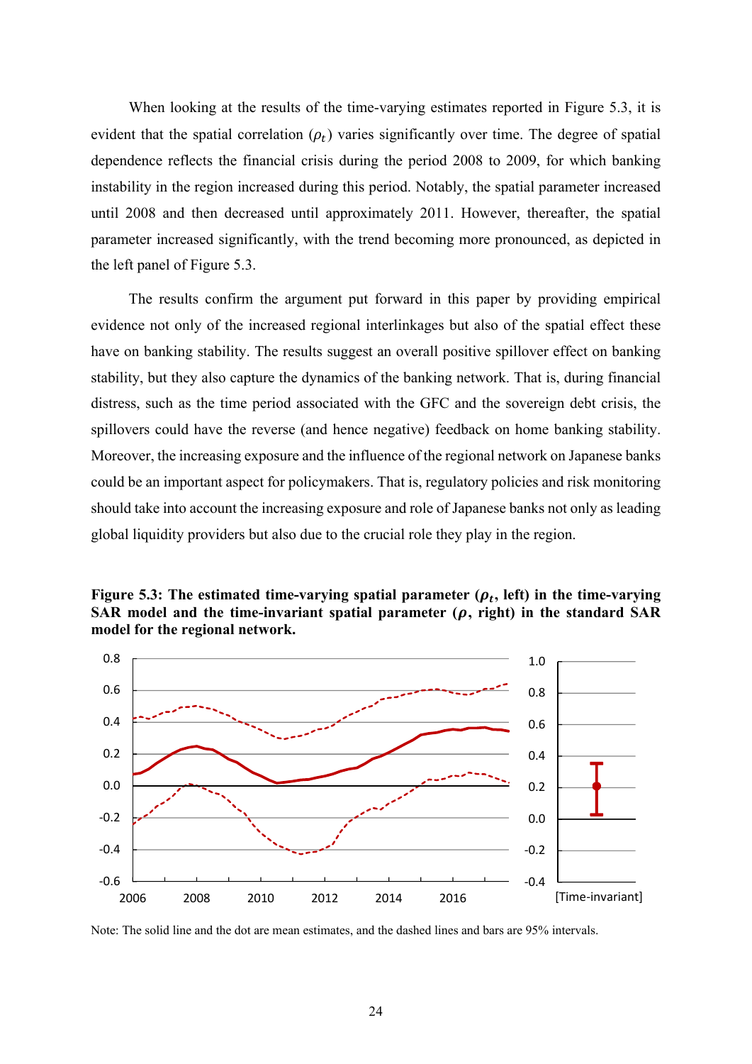When looking at the results of the time-varying estimates reported in Figure 5.3, it is evident that the spatial correlation  $(\rho_t)$  varies significantly over time. The degree of spatial dependence reflects the financial crisis during the period 2008 to 2009, for which banking instability in the region increased during this period. Notably, the spatial parameter increased until 2008 and then decreased until approximately 2011. However, thereafter, the spatial parameter increased significantly, with the trend becoming more pronounced, as depicted in the left panel of Figure 5.3.

The results confirm the argument put forward in this paper by providing empirical evidence not only of the increased regional interlinkages but also of the spatial effect these have on banking stability. The results suggest an overall positive spillover effect on banking stability, but they also capture the dynamics of the banking network. That is, during financial distress, such as the time period associated with the GFC and the sovereign debt crisis, the spillovers could have the reverse (and hence negative) feedback on home banking stability. Moreover, the increasing exposure and the influence of the regional network on Japanese banks could be an important aspect for policymakers. That is, regulatory policies and risk monitoring should take into account the increasing exposure and role of Japanese banks not only as leading global liquidity providers but also due to the crucial role they play in the region.





Note: The solid line and the dot are mean estimates, and the dashed lines and bars are 95% intervals.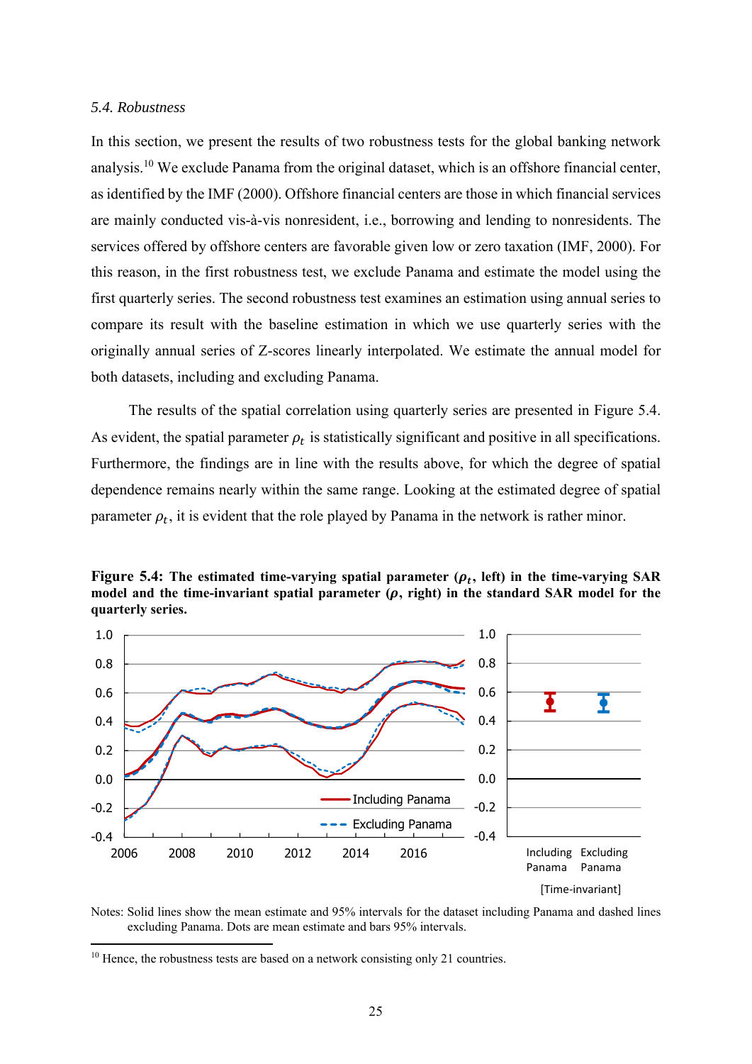#### *5.4. Robustness*

In this section, we present the results of two robustness tests for the global banking network analysis.10 We exclude Panama from the original dataset, which is an offshore financial center, as identified by the IMF (2000). Offshore financial centers are those in which financial services are mainly conducted vis-à-vis nonresident, i.e., borrowing and lending to nonresidents. The services offered by offshore centers are favorable given low or zero taxation (IMF, 2000). For this reason, in the first robustness test, we exclude Panama and estimate the model using the first quarterly series. The second robustness test examines an estimation using annual series to compare its result with the baseline estimation in which we use quarterly series with the originally annual series of Z-scores linearly interpolated. We estimate the annual model for both datasets, including and excluding Panama.

The results of the spatial correlation using quarterly series are presented in Figure 5.4. As evident, the spatial parameter  $\rho_t$  is statistically significant and positive in all specifications. Furthermore, the findings are in line with the results above, for which the degree of spatial dependence remains nearly within the same range. Looking at the estimated degree of spatial parameter  $\rho_t$ , it is evident that the role played by Panama in the network is rather minor.





Notes: Solid lines show the mean estimate and 95% intervals for the dataset including Panama and dashed lines excluding Panama. Dots are mean estimate and bars 95% intervals.

<sup>&</sup>lt;sup>10</sup> Hence, the robustness tests are based on a network consisting only 21 countries.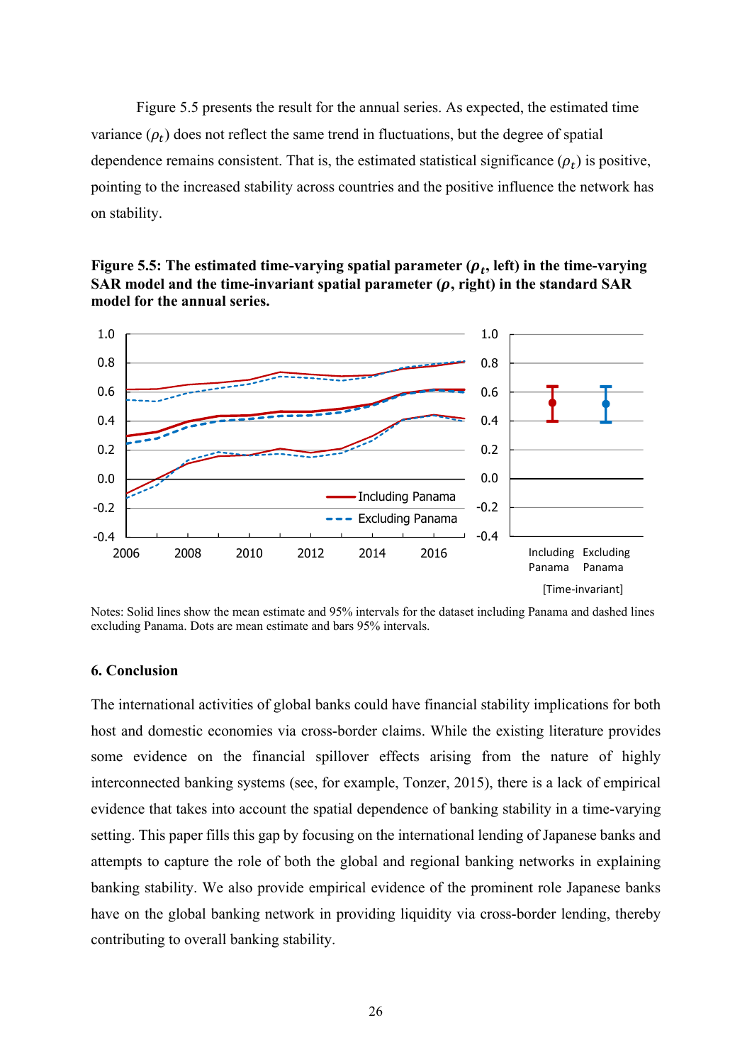Figure 5.5 presents the result for the annual series. As expected, the estimated time variance  $(\rho_t)$  does not reflect the same trend in fluctuations, but the degree of spatial dependence remains consistent. That is, the estimated statistical significance  $(\rho_t)$  is positive, pointing to the increased stability across countries and the positive influence the network has on stability.





Notes: Solid lines show the mean estimate and 95% intervals for the dataset including Panama and dashed lines excluding Panama. Dots are mean estimate and bars 95% intervals.

#### **6. Conclusion**

The international activities of global banks could have financial stability implications for both host and domestic economies via cross-border claims. While the existing literature provides some evidence on the financial spillover effects arising from the nature of highly interconnected banking systems (see, for example, Tonzer, 2015), there is a lack of empirical evidence that takes into account the spatial dependence of banking stability in a time-varying setting. This paper fills this gap by focusing on the international lending of Japanese banks and attempts to capture the role of both the global and regional banking networks in explaining banking stability. We also provide empirical evidence of the prominent role Japanese banks have on the global banking network in providing liquidity via cross-border lending, thereby contributing to overall banking stability.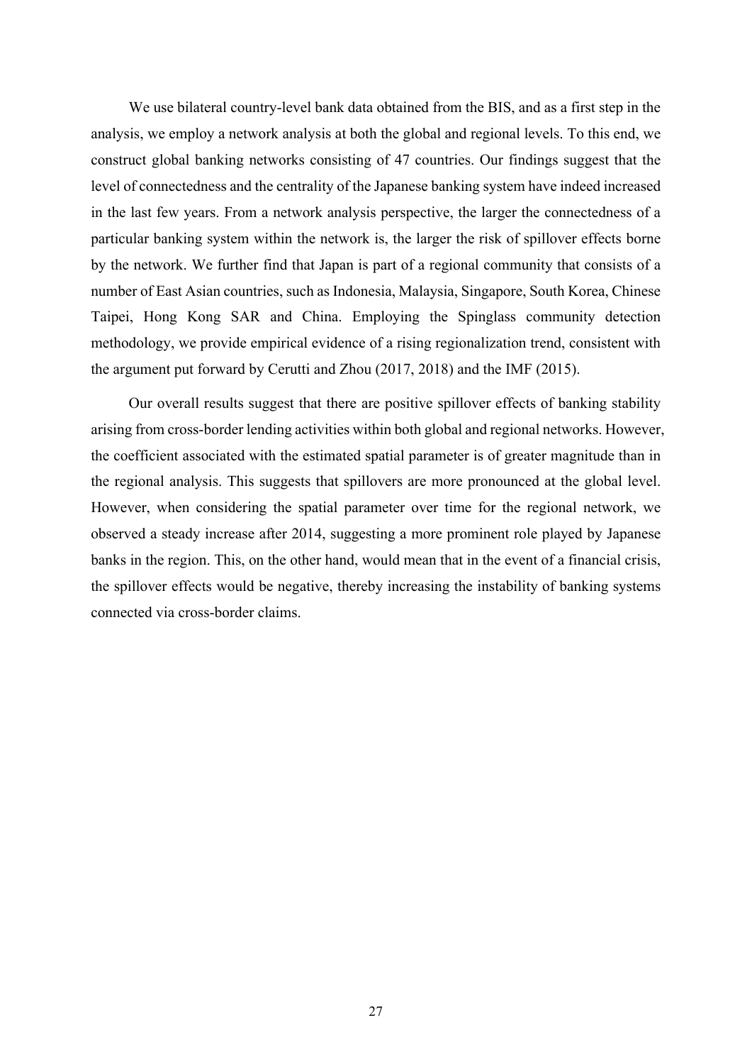We use bilateral country-level bank data obtained from the BIS, and as a first step in the analysis, we employ a network analysis at both the global and regional levels. To this end, we construct global banking networks consisting of 47 countries. Our findings suggest that the level of connectedness and the centrality of the Japanese banking system have indeed increased in the last few years. From a network analysis perspective, the larger the connectedness of a particular banking system within the network is, the larger the risk of spillover effects borne by the network. We further find that Japan is part of a regional community that consists of a number of East Asian countries, such as Indonesia, Malaysia, Singapore, South Korea, Chinese Taipei, Hong Kong SAR and China. Employing the Spinglass community detection methodology, we provide empirical evidence of a rising regionalization trend, consistent with the argument put forward by Cerutti and Zhou (2017, 2018) and the IMF (2015).

Our overall results suggest that there are positive spillover effects of banking stability arising from cross-border lending activities within both global and regional networks. However, the coefficient associated with the estimated spatial parameter is of greater magnitude than in the regional analysis. This suggests that spillovers are more pronounced at the global level. However, when considering the spatial parameter over time for the regional network, we observed a steady increase after 2014, suggesting a more prominent role played by Japanese banks in the region. This, on the other hand, would mean that in the event of a financial crisis, the spillover effects would be negative, thereby increasing the instability of banking systems connected via cross-border claims.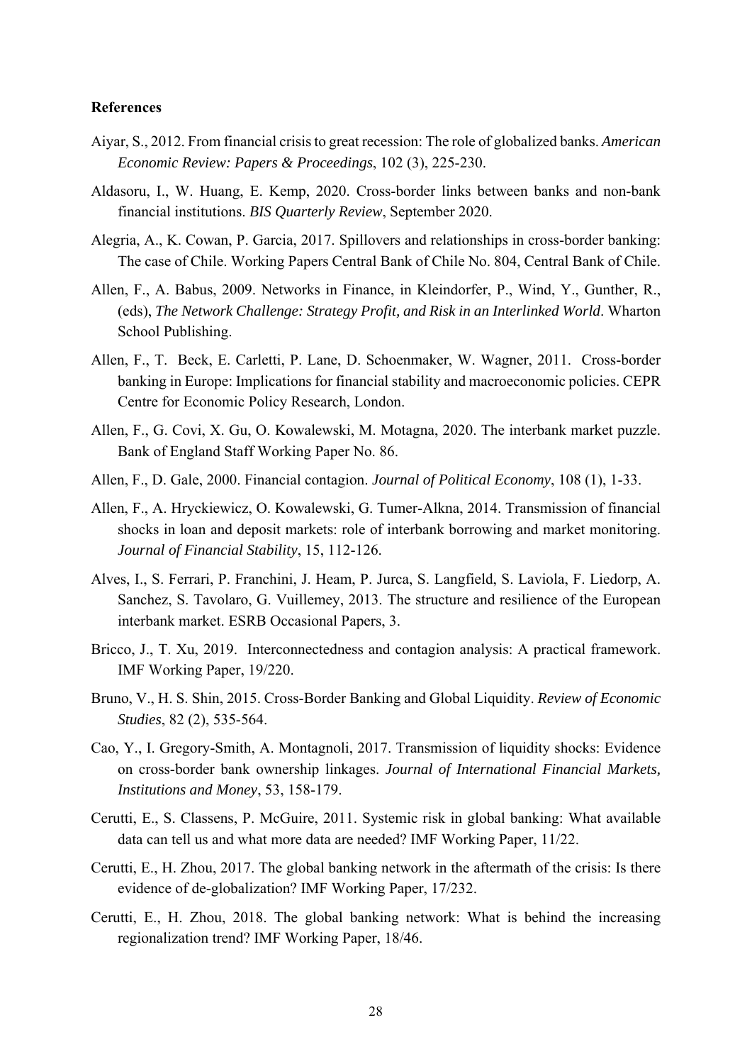#### **References**

- Aiyar, S., 2012. From financial crisis to great recession: The role of globalized banks. *American Economic Review: Papers & Proceedings*, 102 (3), 225-230.
- Aldasoru, I., W. Huang, E. Kemp, 2020. Cross-border links between banks and non-bank financial institutions. *BIS Quarterly Review*, September 2020.
- Alegria, A., K. Cowan, P. Garcia, 2017. Spillovers and relationships in cross-border banking: The case of Chile. Working Papers Central Bank of Chile No. 804, Central Bank of Chile.
- Allen, F., A. Babus, 2009. Networks in Finance, in Kleindorfer, P., Wind, Y., Gunther, R., (eds), *The Network Challenge: Strategy Profit, and Risk in an Interlinked World*. Wharton School Publishing.
- Allen, F., T. Beck, E. Carletti, P. Lane, D. Schoenmaker, W. Wagner, 2011. Cross-border banking in Europe: Implications for financial stability and macroeconomic policies. CEPR Centre for Economic Policy Research, London.
- Allen, F., G. Covi, X. Gu, O. Kowalewski, M. Motagna, 2020. The interbank market puzzle. Bank of England Staff Working Paper No. 86.
- Allen, F., D. Gale, 2000. Financial contagion. *Journal of Political Economy*, 108 (1), 1-33.
- Allen, F., A. Hryckiewicz, O. Kowalewski, G. Tumer-Alkna, 2014. Transmission of financial shocks in loan and deposit markets: role of interbank borrowing and market monitoring. *Journal of Financial Stability*, 15, 112-126.
- Alves, I., S. Ferrari, P. Franchini, J. Heam, P. Jurca, S. Langfield, S. Laviola, F. Liedorp, A. Sanchez, S. Tavolaro, G. Vuillemey, 2013. The structure and resilience of the European interbank market. ESRB Occasional Papers, 3.
- Bricco, J., T. Xu, 2019. Interconnectedness and contagion analysis: A practical framework. IMF Working Paper, 19/220.
- Bruno, V., H. S. Shin, 2015. Cross-Border Banking and Global Liquidity. *Review of Economic Studies*, 82 (2), 535-564.
- Cao, Y., I. Gregory-Smith, A. Montagnoli, 2017. Transmission of liquidity shocks: Evidence on cross-border bank ownership linkages. *Journal of International Financial Markets, Institutions and Money*, 53, 158-179.
- Cerutti, E., S. Classens, P. McGuire, 2011. Systemic risk in global banking: What available data can tell us and what more data are needed? IMF Working Paper, 11/22.
- Cerutti, E., H. Zhou, 2017. The global banking network in the aftermath of the crisis: Is there evidence of de-globalization? IMF Working Paper, 17/232.
- Cerutti, E., H. Zhou, 2018. The global banking network: What is behind the increasing regionalization trend? IMF Working Paper, 18/46.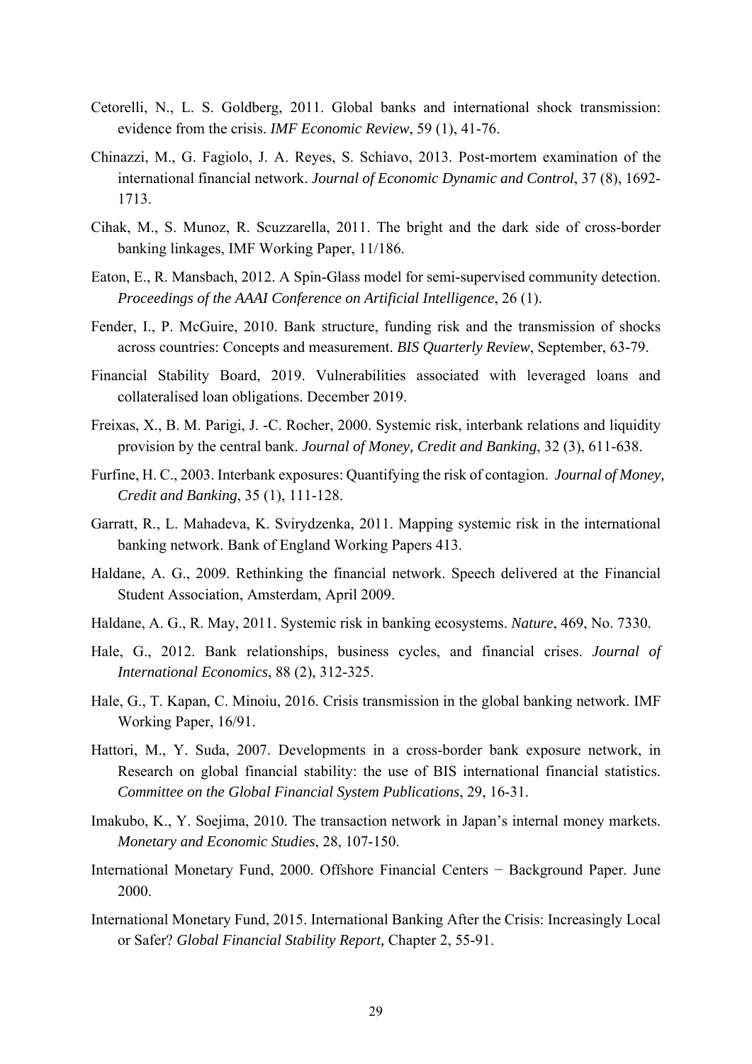- Cetorelli, N., L. S. Goldberg, 2011. Global banks and international shock transmission: evidence from the crisis. *IMF Economic Review*, 59 (1), 41-76.
- Chinazzi, M., G. Fagiolo, J. A. Reyes, S. Schiavo, 2013. Post-mortem examination of the international financial network. *Journal of Economic Dynamic and Control*, 37 (8), 1692- 1713.
- Cihak, M., S. Munoz, R. Scuzzarella, 2011. The bright and the dark side of cross-border banking linkages, IMF Working Paper, 11/186.
- Eaton, E., R. Mansbach, 2012. A Spin-Glass model for semi-supervised community detection. *Proceedings of the AAAI Conference on Artificial Intelligence*, 26 (1).
- Fender, I., P. McGuire, 2010. Bank structure, funding risk and the transmission of shocks across countries: Concepts and measurement. *BIS Quarterly Review*, September, 63-79.
- Financial Stability Board, 2019. Vulnerabilities associated with leveraged loans and collateralised loan obligations. December 2019.
- Freixas, X., B. M. Parigi, J. -C. Rocher, 2000. Systemic risk, interbank relations and liquidity provision by the central bank. *Journal of Money, Credit and Banking*, 32 (3), 611-638.
- Furfine, H. C., 2003. Interbank exposures: Quantifying the risk of contagion. *Journal of Money, Credit and Banking*, 35 (1), 111-128.
- Garratt, R., L. Mahadeva, K. Svirydzenka, 2011. Mapping systemic risk in the international banking network. Bank of England Working Papers 413.
- Haldane, A. G., 2009. Rethinking the financial network. Speech delivered at the Financial Student Association, Amsterdam, April 2009.
- Haldane, A. G., R. May, 2011. Systemic risk in banking ecosystems. *Nature*, 469, No. 7330.
- Hale, G., 2012. Bank relationships, business cycles, and financial crises. *Journal of International Economics*, 88 (2), 312-325.
- Hale, G., T. Kapan, C. Minoiu, 2016. Crisis transmission in the global banking network. IMF Working Paper, 16/91.
- Hattori, M., Y. Suda, 2007. Developments in a cross-border bank exposure network, in Research on global financial stability: the use of BIS international financial statistics. *Committee on the Global Financial System Publications*, 29, 16-31.
- Imakubo, K., Y. Soejima, 2010. The transaction network in Japan's internal money markets. *Monetary and Economic Studies*, 28, 107-150.
- International Monetary Fund, 2000. Offshore Financial Centers − Background Paper. June 2000.
- International Monetary Fund, 2015. International Banking After the Crisis: Increasingly Local or Safer? *Global Financial Stability Report,* Chapter 2, 55-91.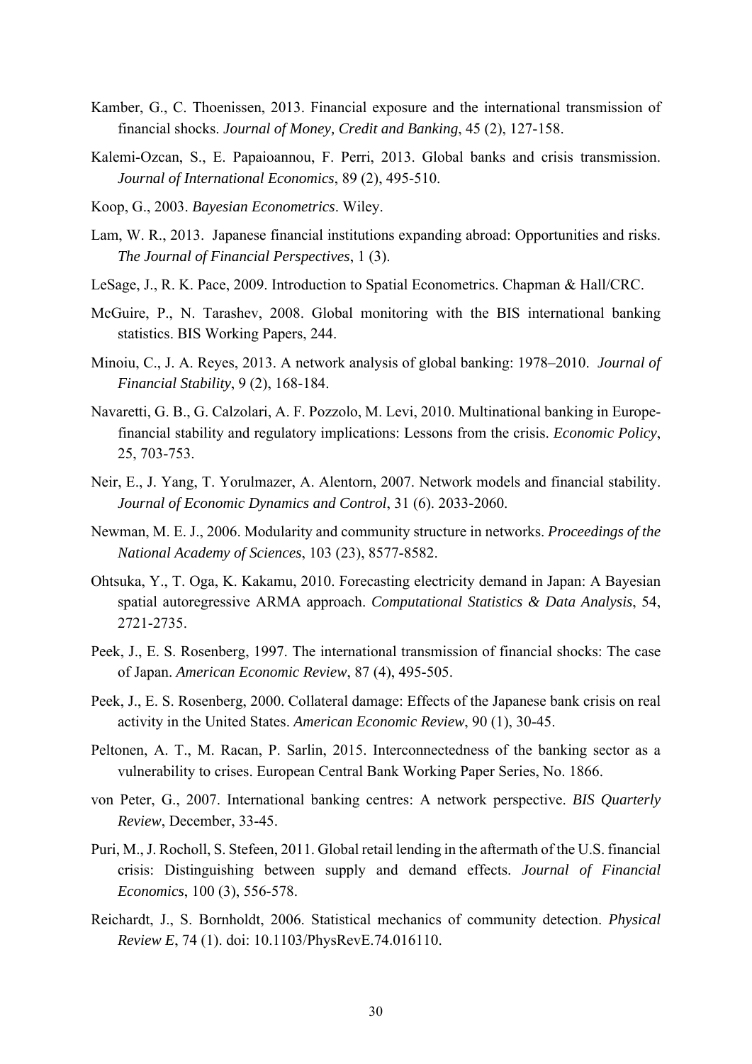- Kamber, G., C. Thoenissen, 2013. Financial exposure and the international transmission of financial shocks. *Journal of Money, Credit and Banking*, 45 (2), 127-158.
- Kalemi-Ozcan, S., E. Papaioannou, F. Perri, 2013. Global banks and crisis transmission. *Journal of International Economics*, 89 (2), 495-510.
- Koop, G., 2003. *Bayesian Econometrics*. Wiley.
- Lam, W. R., 2013. Japanese financial institutions expanding abroad: Opportunities and risks. *The Journal of Financial Perspectives*, 1 (3).
- LeSage, J., R. K. Pace, 2009. Introduction to Spatial Econometrics. Chapman & Hall/CRC.
- McGuire, P., N. Tarashev, 2008. Global monitoring with the BIS international banking statistics. BIS Working Papers, 244.
- Minoiu, C., J. A. Reyes, 2013. A network analysis of global banking: 1978–2010. *Journal of Financial Stability*, 9 (2), 168-184.
- Navaretti, G. B., G. Calzolari, A. F. Pozzolo, M. Levi, 2010. Multinational banking in Europefinancial stability and regulatory implications: Lessons from the crisis. *Economic Policy*, 25, 703-753.
- Neir, E., J. Yang, T. Yorulmazer, A. Alentorn, 2007. Network models and financial stability. *Journal of Economic Dynamics and Control*, 31 (6). 2033-2060.
- Newman, M. E. J., 2006. Modularity and community structure in networks. *Proceedings of the National Academy of Sciences*, 103 (23), 8577-8582.
- Ohtsuka, Y., T. Oga, K. Kakamu, 2010. Forecasting electricity demand in Japan: A Bayesian spatial autoregressive ARMA approach. *Computational Statistics & Data Analysis*, 54, 2721-2735.
- Peek, J., E. S. Rosenberg, 1997. The international transmission of financial shocks: The case of Japan. *American Economic Review*, 87 (4), 495-505.
- Peek, J., E. S. Rosenberg, 2000. Collateral damage: Effects of the Japanese bank crisis on real activity in the United States. *American Economic Review*, 90 (1), 30-45.
- Peltonen, A. T., M. Racan, P. Sarlin, 2015. Interconnectedness of the banking sector as a vulnerability to crises. European Central Bank Working Paper Series, No. 1866.
- von Peter, G., 2007. International banking centres: A network perspective. *BIS Quarterly Review*, December, 33-45.
- Puri, M., J. Rocholl, S. Stefeen, 2011. Global retail lending in the aftermath of the U.S. financial crisis: Distinguishing between supply and demand effects. *Journal of Financial Economics*, 100 (3), 556-578.
- Reichardt, J., S. Bornholdt, 2006. Statistical mechanics of community detection. *Physical Review E*, 74 (1). doi: 10.1103/PhysRevE.74.016110.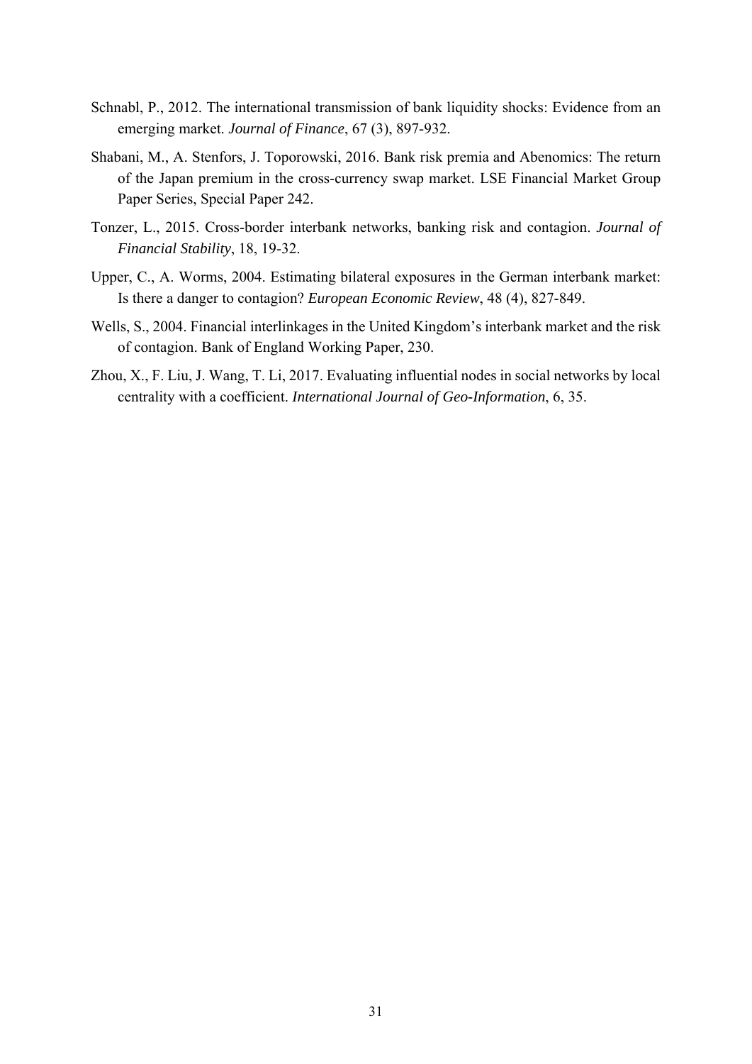- Schnabl, P., 2012. The international transmission of bank liquidity shocks: Evidence from an emerging market. *Journal of Finance*, 67 (3), 897-932.
- Shabani, M., A. Stenfors, J. Toporowski, 2016. Bank risk premia and Abenomics: The return of the Japan premium in the cross-currency swap market. LSE Financial Market Group Paper Series, Special Paper 242.
- Tonzer, L., 2015. Cross-border interbank networks, banking risk and contagion. *Journal of Financial Stability*, 18, 19-32.
- Upper, C., A. Worms, 2004. Estimating bilateral exposures in the German interbank market: Is there a danger to contagion? *European Economic Review*, 48 (4), 827-849.
- Wells, S., 2004. Financial interlinkages in the United Kingdom's interbank market and the risk of contagion. Bank of England Working Paper, 230.
- Zhou, X., F. Liu, J. Wang, T. Li, 2017. Evaluating influential nodes in social networks by local centrality with a coefficient. *International Journal of Geo-Information*, 6, 35.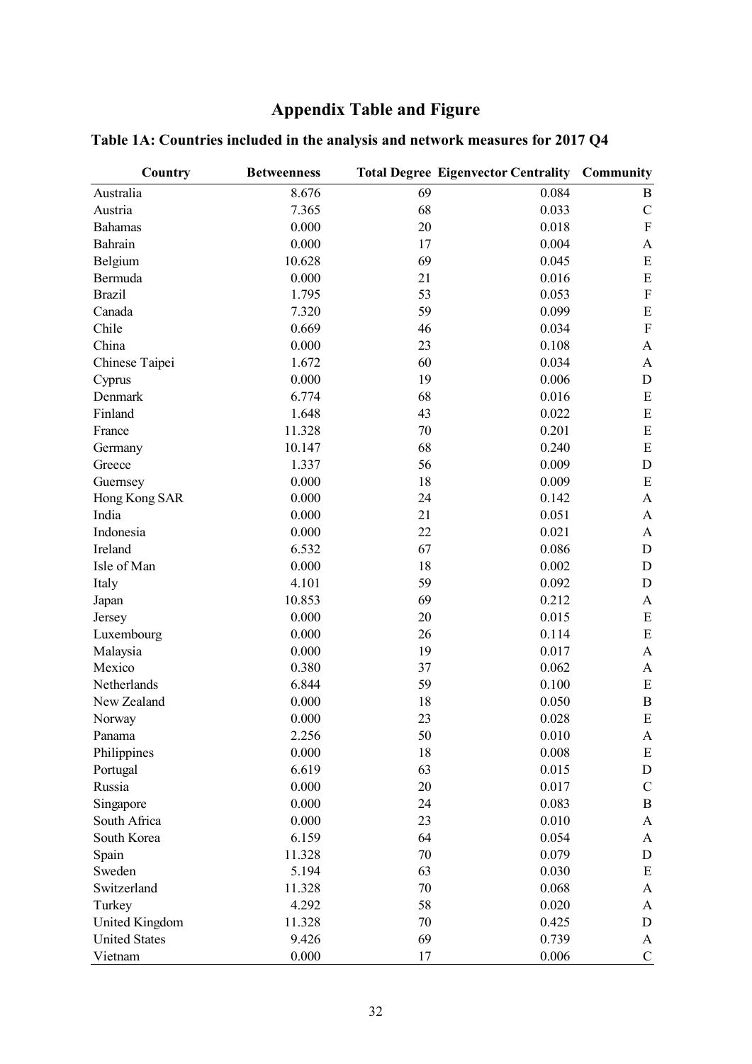# **Appendix Table and Figure**

| Country              | <b>Betweenness</b> |    | <b>Total Degree Eigenvector Centrality Community</b> |                  |
|----------------------|--------------------|----|------------------------------------------------------|------------------|
| Australia            | 8.676              | 69 | 0.084                                                | $\bf{B}$         |
| Austria              | 7.365              | 68 | 0.033                                                | ${\bf C}$        |
| <b>Bahamas</b>       | 0.000              | 20 | 0.018                                                | ${\bf F}$        |
| Bahrain              | 0.000              | 17 | 0.004                                                | $\boldsymbol{A}$ |
| Belgium              | 10.628             | 69 | 0.045                                                | ${\bf E}$        |
| Bermuda              | 0.000              | 21 | 0.016                                                | ${\bf E}$        |
| <b>Brazil</b>        | 1.795              | 53 | 0.053                                                | ${\bf F}$        |
| Canada               | 7.320              | 59 | 0.099                                                | ${\bf E}$        |
| Chile                | 0.669              | 46 | 0.034                                                | ${\bf F}$        |
| China                | 0.000              | 23 | 0.108                                                | $\mathbf{A}$     |
| Chinese Taipei       | 1.672              | 60 | 0.034                                                | A                |
| Cyprus               | 0.000              | 19 | 0.006                                                | $\mathbf D$      |
| Denmark              | 6.774              | 68 | 0.016                                                | ${\bf E}$        |
| Finland              | 1.648              | 43 | 0.022                                                | ${\bf E}$        |
| France               | 11.328             | 70 | 0.201                                                | ${\bf E}$        |
| Germany              | 10.147             | 68 | 0.240                                                | E                |
| Greece               | 1.337              | 56 | 0.009                                                | $\mathbf D$      |
| Guernsey             | 0.000              | 18 | 0.009                                                | E                |
| Hong Kong SAR        | 0.000              | 24 | 0.142                                                | $\mathbf{A}$     |
| India                | 0.000              | 21 | 0.051                                                | A                |
| Indonesia            | 0.000              | 22 | 0.021                                                | A                |
| Ireland              | 6.532              | 67 | 0.086                                                | $\mathbf D$      |
| Isle of Man          | 0.000              | 18 | 0.002                                                | D                |
| Italy                | 4.101              | 59 | 0.092                                                | D                |
| Japan                | 10.853             | 69 | 0.212                                                | A                |
| Jersey               | 0.000              | 20 | 0.015                                                | E                |
| Luxembourg           | 0.000              | 26 | 0.114                                                | ${\bf E}$        |
| Malaysia             | 0.000              | 19 | 0.017                                                | $\boldsymbol{A}$ |
| Mexico               | 0.380              | 37 | 0.062                                                | A                |
| Netherlands          | 6.844              | 59 | 0.100                                                | E                |
| New Zealand          | 0.000              | 18 | 0.050                                                | $\bf{B}$         |
| Norway               | 0.000              | 23 | 0.028                                                | E                |
| Panama               | 2.256              | 50 | 0.010                                                | A                |
| Philippines          | 0.000              | 18 | 0.008                                                | Ε                |
| Portugal             | 6.619              | 63 | 0.015                                                | $\mathbf D$      |
| Russia               | 0.000              | 20 | 0.017                                                | $\mathbf C$      |
| Singapore            | 0.000              | 24 | 0.083                                                | $\bf{B}$         |
| South Africa         | 0.000              | 23 | 0.010                                                | A                |
| South Korea          | 6.159              | 64 | 0.054                                                | A                |
| Spain                | 11.328             | 70 | 0.079                                                | $\mathbf D$      |
| Sweden               | 5.194              | 63 | 0.030                                                | Ε                |
| Switzerland          | 11.328             | 70 | 0.068                                                | A                |
| Turkey               | 4.292              | 58 | 0.020                                                | A                |
| United Kingdom       | 11.328             | 70 | 0.425                                                | $\mathbf D$      |
| <b>United States</b> | 9.426              | 69 | 0.739                                                | A                |
| Vietnam              | 0.000              | 17 | 0.006                                                | $\mathbf C$      |

# **Table 1A: Countries included in the analysis and network measures for 2017 Q4**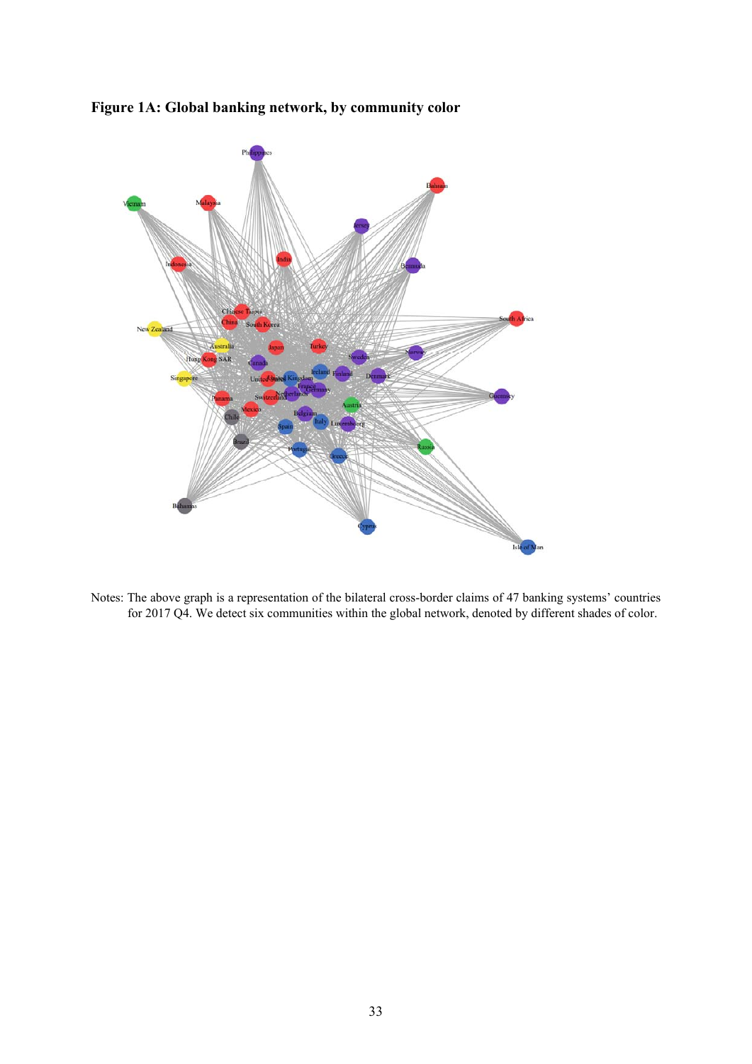



Notes: The above graph is a representation of the bilateral cross-border claims of 47 banking systems' countries for 2017 Q4. We detect six communities within the global network, denoted by different shades of color.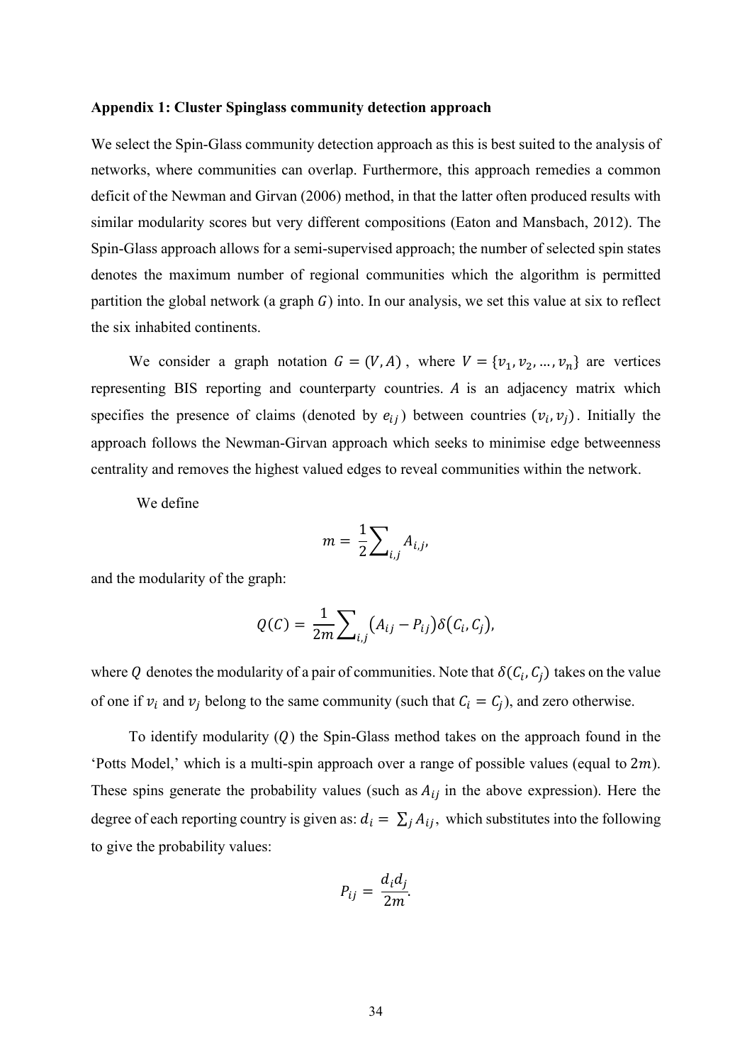#### **Appendix 1: Cluster Spinglass community detection approach**

We select the Spin-Glass community detection approach as this is best suited to the analysis of networks, where communities can overlap. Furthermore, this approach remedies a common deficit of the Newman and Girvan (2006) method, in that the latter often produced results with similar modularity scores but very different compositions (Eaton and Mansbach, 2012). The Spin-Glass approach allows for a semi-supervised approach; the number of selected spin states denotes the maximum number of regional communities which the algorithm is permitted partition the global network (a graph  $G$ ) into. In our analysis, we set this value at six to reflect the six inhabited continents.

We consider a graph notation  $G = (V, A)$ , where  $V = \{v_1, v_2, ..., v_n\}$  are vertices representing BIS reporting and counterparty countries.  $A$  is an adjacency matrix which specifies the presence of claims (denoted by  $e_{ij}$ ) between countries  $(v_i, v_j)$ . Initially the approach follows the Newman-Girvan approach which seeks to minimise edge betweenness centrality and removes the highest valued edges to reveal communities within the network.

We define

$$
m=\frac{1}{2}\sum_{i,j}A_{i,j},
$$

and the modularity of the graph:

$$
Q(C) = \frac{1}{2m} \sum_{i,j} (A_{ij} - P_{ij}) \delta(C_i, C_j),
$$

where Q denotes the modularity of a pair of communities. Note that  $\delta(C_i, C_i)$  takes on the value of one if  $v_i$  and  $v_j$  belong to the same community (such that  $C_i = C_j$ ), and zero otherwise.

To identify modularity  $(Q)$  the Spin-Glass method takes on the approach found in the 'Potts Model,' which is a multi-spin approach over a range of possible values (equal to  $2m$ ). These spins generate the probability values (such as  $A_{ij}$  in the above expression). Here the degree of each reporting country is given as:  $d_i = \sum_j A_{ij}$ , which substitutes into the following to give the probability values:

$$
P_{ij} = \frac{d_i d_j}{2m}.
$$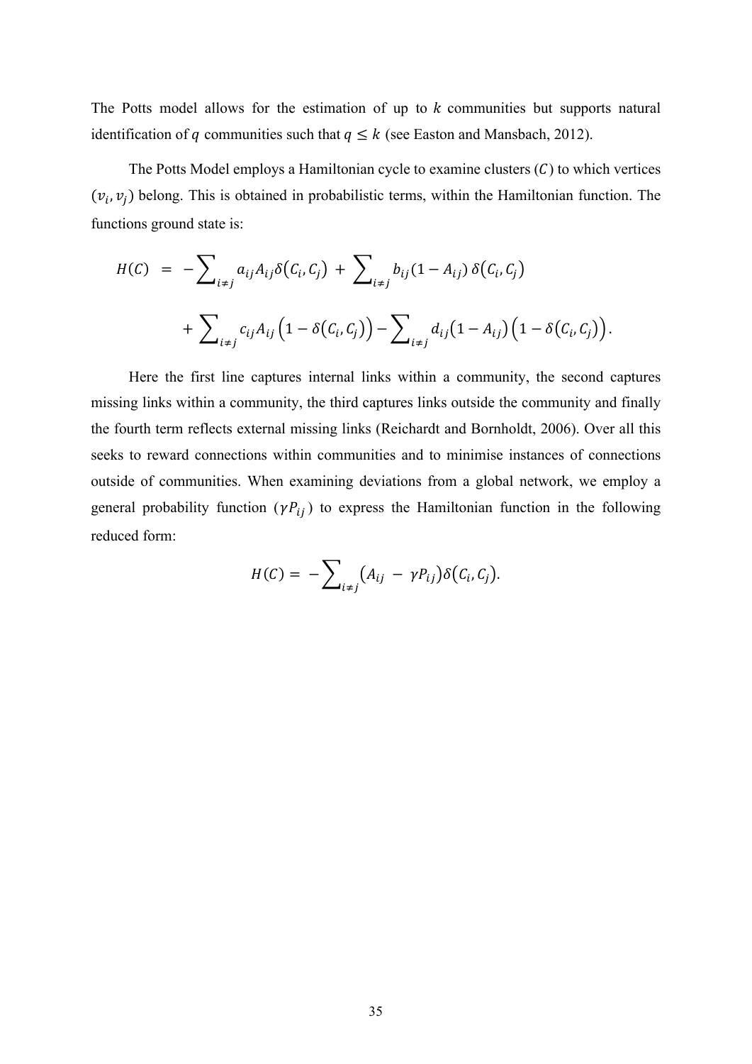The Potts model allows for the estimation of up to  $k$  communities but supports natural identification of q communities such that  $q \leq k$  (see Easton and Mansbach, 2012).

The Potts Model employs a Hamiltonian cycle to examine clusters  $(C)$  to which vertices  $(v_i, v_j)$  belong. This is obtained in probabilistic terms, within the Hamiltonian function. The functions ground state is:

$$
H(C) = -\sum_{i \neq j} a_{ij} A_{ij} \delta(C_i, C_j) + \sum_{i \neq j} b_{ij} (1 - A_{ij}) \delta(C_i, C_j)
$$
  
+ 
$$
\sum_{i \neq j} c_{ij} A_{ij} (1 - \delta(C_i, C_j)) - \sum_{i \neq j} d_{ij} (1 - A_{ij}) (1 - \delta(C_i, C_j)).
$$

Here the first line captures internal links within a community, the second captures missing links within a community, the third captures links outside the community and finally the fourth term reflects external missing links (Reichardt and Bornholdt, 2006). Over all this seeks to reward connections within communities and to minimise instances of connections outside of communities. When examining deviations from a global network, we employ a general probability function  $(\gamma P_{ij})$  to express the Hamiltonian function in the following reduced form:

$$
H(C) = -\sum_{i \neq j} (A_{ij} - \gamma P_{ij}) \delta(C_i, C_j).
$$